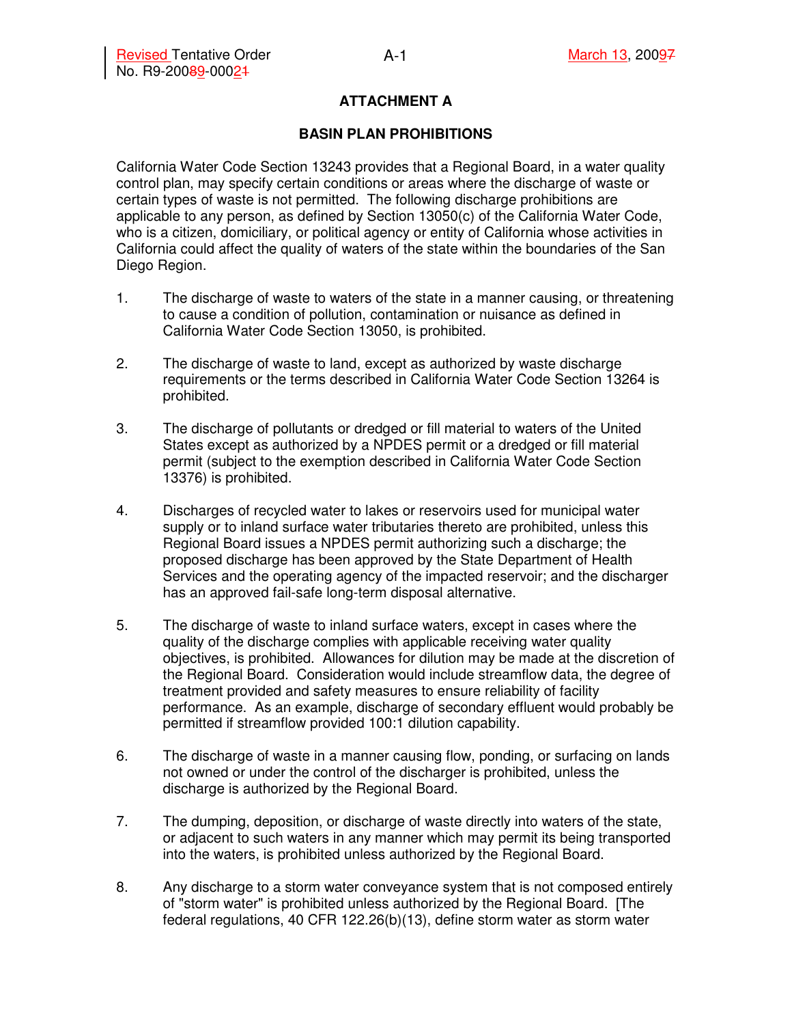### **ATTACHMENT A**

#### **BASIN PLAN PROHIBITIONS**

California Water Code Section 13243 provides that a Regional Board, in a water quality control plan, may specify certain conditions or areas where the discharge of waste or certain types of waste is not permitted. The following discharge prohibitions are applicable to any person, as defined by Section 13050(c) of the California Water Code, who is a citizen, domiciliary, or political agency or entity of California whose activities in California could affect the quality of waters of the state within the boundaries of the San Diego Region.

- 1. The discharge of waste to waters of the state in a manner causing, or threatening to cause a condition of pollution, contamination or nuisance as defined in California Water Code Section 13050, is prohibited.
- 2. The discharge of waste to land, except as authorized by waste discharge requirements or the terms described in California Water Code Section 13264 is prohibited.
- 3. The discharge of pollutants or dredged or fill material to waters of the United States except as authorized by a NPDES permit or a dredged or fill material permit (subject to the exemption described in California Water Code Section 13376) is prohibited.
- 4. Discharges of recycled water to lakes or reservoirs used for municipal water supply or to inland surface water tributaries thereto are prohibited, unless this Regional Board issues a NPDES permit authorizing such a discharge; the proposed discharge has been approved by the State Department of Health Services and the operating agency of the impacted reservoir; and the discharger has an approved fail-safe long-term disposal alternative.
- 5. The discharge of waste to inland surface waters, except in cases where the quality of the discharge complies with applicable receiving water quality objectives, is prohibited. Allowances for dilution may be made at the discretion of the Regional Board. Consideration would include streamflow data, the degree of treatment provided and safety measures to ensure reliability of facility performance. As an example, discharge of secondary effluent would probably be permitted if streamflow provided 100:1 dilution capability.
- 6. The discharge of waste in a manner causing flow, ponding, or surfacing on lands not owned or under the control of the discharger is prohibited, unless the discharge is authorized by the Regional Board.
- 7. The dumping, deposition, or discharge of waste directly into waters of the state, or adjacent to such waters in any manner which may permit its being transported into the waters, is prohibited unless authorized by the Regional Board.
- 8. Any discharge to a storm water conveyance system that is not composed entirely of "storm water" is prohibited unless authorized by the Regional Board. [The federal regulations, 40 CFR 122.26(b)(13), define storm water as storm water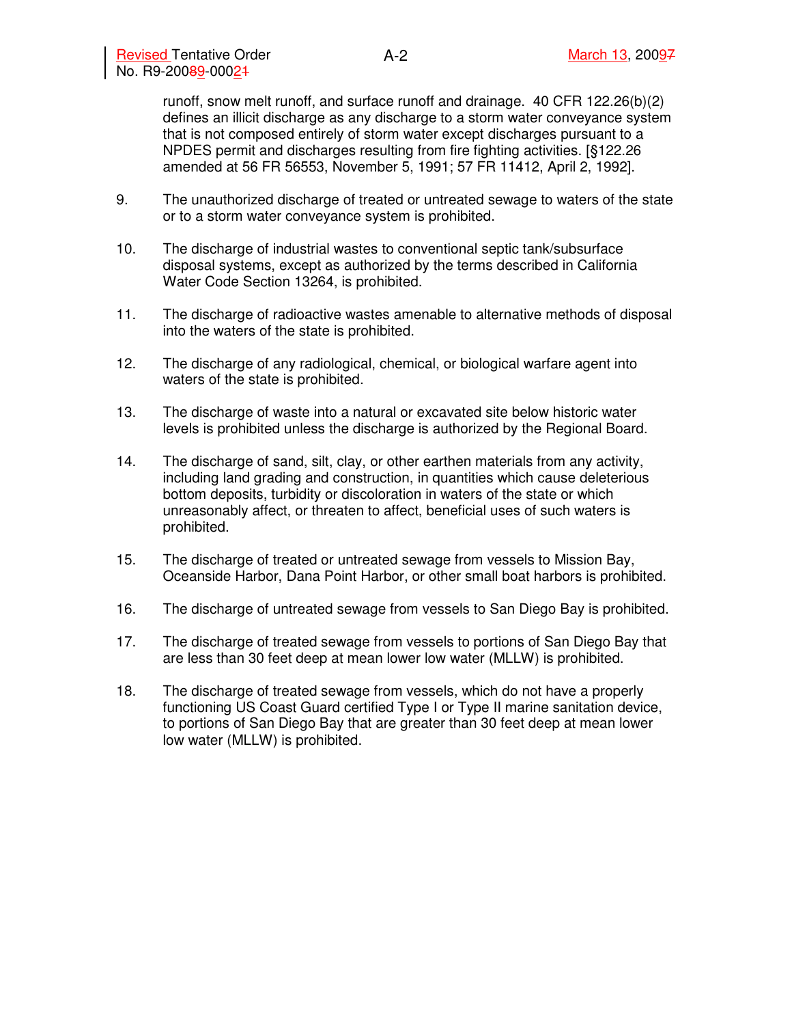runoff, snow melt runoff, and surface runoff and drainage. 40 CFR 122.26(b)(2) defines an illicit discharge as any discharge to a storm water conveyance system that is not composed entirely of storm water except discharges pursuant to a NPDES permit and discharges resulting from fire fighting activities. [§122.26 amended at 56 FR 56553, November 5, 1991; 57 FR 11412, April 2, 1992].

- 9. The unauthorized discharge of treated or untreated sewage to waters of the state or to a storm water conveyance system is prohibited.
- 10. The discharge of industrial wastes to conventional septic tank/subsurface disposal systems, except as authorized by the terms described in California Water Code Section 13264, is prohibited.
- 11. The discharge of radioactive wastes amenable to alternative methods of disposal into the waters of the state is prohibited.
- 12. The discharge of any radiological, chemical, or biological warfare agent into waters of the state is prohibited.
- 13. The discharge of waste into a natural or excavated site below historic water levels is prohibited unless the discharge is authorized by the Regional Board.
- 14. The discharge of sand, silt, clay, or other earthen materials from any activity, including land grading and construction, in quantities which cause deleterious bottom deposits, turbidity or discoloration in waters of the state or which unreasonably affect, or threaten to affect, beneficial uses of such waters is prohibited.
- 15. The discharge of treated or untreated sewage from vessels to Mission Bay, Oceanside Harbor, Dana Point Harbor, or other small boat harbors is prohibited.
- 16. The discharge of untreated sewage from vessels to San Diego Bay is prohibited.
- 17. The discharge of treated sewage from vessels to portions of San Diego Bay that are less than 30 feet deep at mean lower low water (MLLW) is prohibited.
- 18. The discharge of treated sewage from vessels, which do not have a properly functioning US Coast Guard certified Type I or Type II marine sanitation device, to portions of San Diego Bay that are greater than 30 feet deep at mean lower low water (MLLW) is prohibited.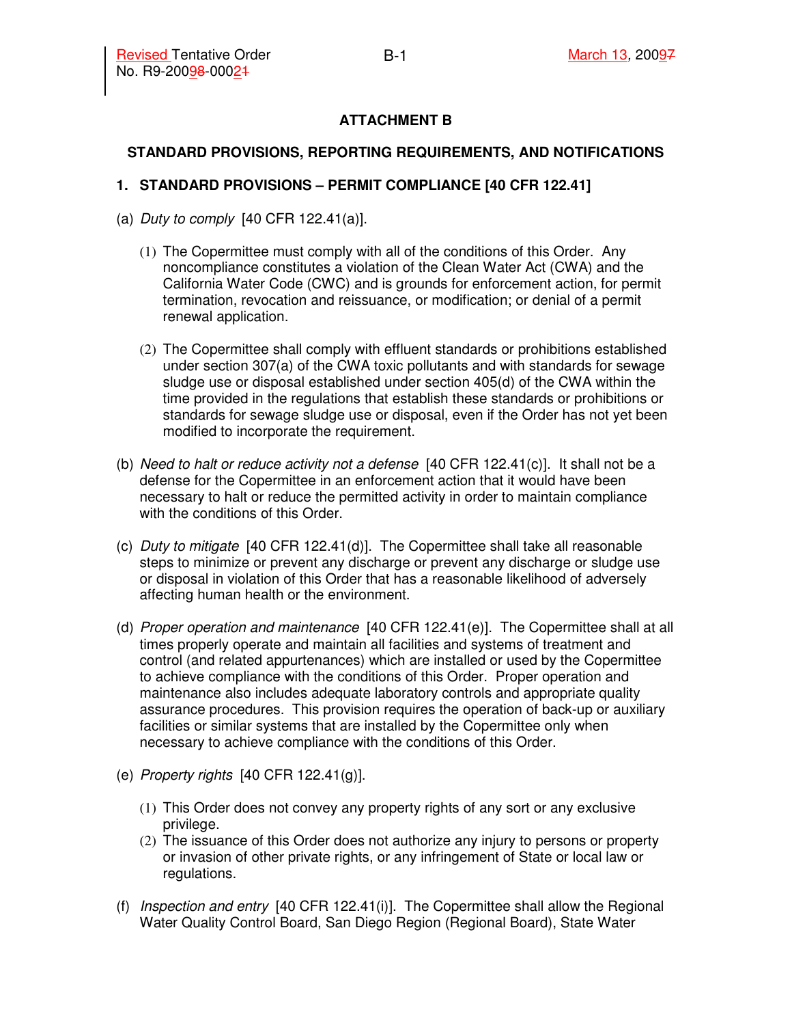# **ATTACHMENT B**

## **STANDARD PROVISIONS, REPORTING REQUIREMENTS, AND NOTIFICATIONS**

### **1. STANDARD PROVISIONS – PERMIT COMPLIANCE [40 CFR 122.41]**

- (a) Duty to comply  $[40$  CFR 122.41(a)].
	- (1) The Copermittee must comply with all of the conditions of this Order. Any noncompliance constitutes a violation of the Clean Water Act (CWA) and the California Water Code (CWC) and is grounds for enforcement action, for permit termination, revocation and reissuance, or modification; or denial of a permit renewal application.
	- (2) The Copermittee shall comply with effluent standards or prohibitions established under section 307(a) of the CWA toxic pollutants and with standards for sewage sludge use or disposal established under section 405(d) of the CWA within the time provided in the regulations that establish these standards or prohibitions or standards for sewage sludge use or disposal, even if the Order has not yet been modified to incorporate the requirement.
- (b) Need to halt or reduce activity not a defense  $[40 \text{ CFR } 122.41(c)]$ . It shall not be a defense for the Copermittee in an enforcement action that it would have been necessary to halt or reduce the permitted activity in order to maintain compliance with the conditions of this Order.
- (c) Duty to mitigate  $[40 \text{ CFR } 122.41(d)]$ . The Copermittee shall take all reasonable steps to minimize or prevent any discharge or prevent any discharge or sludge use or disposal in violation of this Order that has a reasonable likelihood of adversely affecting human health or the environment.
- (d) Proper operation and maintenance  $[40 \text{ CFR } 122.41(e)]$ . The Copermittee shall at all times properly operate and maintain all facilities and systems of treatment and control (and related appurtenances) which are installed or used by the Copermittee to achieve compliance with the conditions of this Order. Proper operation and maintenance also includes adequate laboratory controls and appropriate quality assurance procedures. This provision requires the operation of back-up or auxiliary facilities or similar systems that are installed by the Copermittee only when necessary to achieve compliance with the conditions of this Order.
- (e) Property rights [40 CFR 122.41(g)].
	- (1) This Order does not convey any property rights of any sort or any exclusive privilege.
	- (2) The issuance of this Order does not authorize any injury to persons or property or invasion of other private rights, or any infringement of State or local law or regulations.
- (f) Inspection and entry [40 CFR 122.41(i)]. The Copermittee shall allow the Regional Water Quality Control Board, San Diego Region (Regional Board), State Water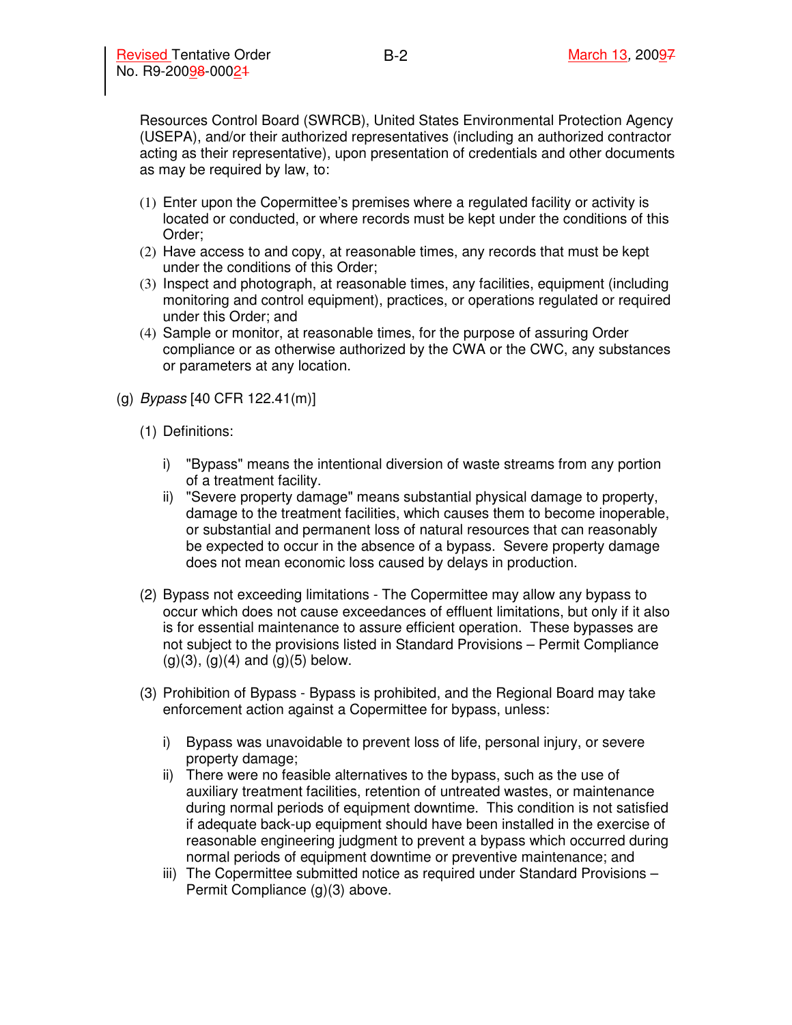Resources Control Board (SWRCB), United States Environmental Protection Agency (USEPA), and/or their authorized representatives (including an authorized contractor acting as their representative), upon presentation of credentials and other documents as may be required by law, to:

- (1) Enter upon the Copermittee's premises where a regulated facility or activity is located or conducted, or where records must be kept under the conditions of this Order;
- (2) Have access to and copy, at reasonable times, any records that must be kept under the conditions of this Order;
- (3) Inspect and photograph, at reasonable times, any facilities, equipment (including monitoring and control equipment), practices, or operations regulated or required under this Order; and
- (4) Sample or monitor, at reasonable times, for the purpose of assuring Order compliance or as otherwise authorized by the CWA or the CWC, any substances or parameters at any location.
- (g) Bypass [40 CFR 122.41(m)]
	- (1) Definitions:
		- i) "Bypass" means the intentional diversion of waste streams from any portion of a treatment facility.
		- ii) "Severe property damage" means substantial physical damage to property, damage to the treatment facilities, which causes them to become inoperable, or substantial and permanent loss of natural resources that can reasonably be expected to occur in the absence of a bypass. Severe property damage does not mean economic loss caused by delays in production.
	- (2) Bypass not exceeding limitations The Copermittee may allow any bypass to occur which does not cause exceedances of effluent limitations, but only if it also is for essential maintenance to assure efficient operation. These bypasses are not subject to the provisions listed in Standard Provisions – Permit Compliance  $(g)(3)$ ,  $(g)(4)$  and  $(g)(5)$  below.
	- (3) Prohibition of Bypass Bypass is prohibited, and the Regional Board may take enforcement action against a Copermittee for bypass, unless:
		- i) Bypass was unavoidable to prevent loss of life, personal injury, or severe property damage;
		- ii) There were no feasible alternatives to the bypass, such as the use of auxiliary treatment facilities, retention of untreated wastes, or maintenance during normal periods of equipment downtime. This condition is not satisfied if adequate back-up equipment should have been installed in the exercise of reasonable engineering judgment to prevent a bypass which occurred during normal periods of equipment downtime or preventive maintenance; and
		- iii) The Copermittee submitted notice as required under Standard Provisions Permit Compliance (g)(3) above.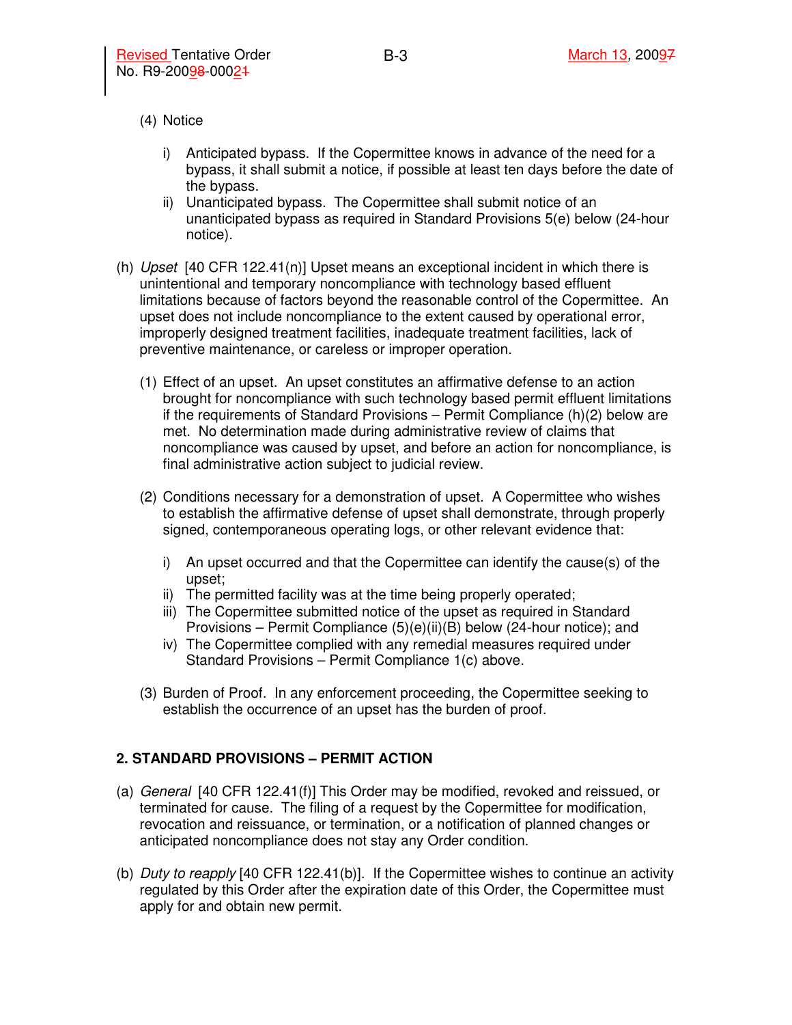(4) Notice

- i) Anticipated bypass. If the Copermittee knows in advance of the need for a bypass, it shall submit a notice, if possible at least ten days before the date of the bypass.
- ii) Unanticipated bypass. The Copermittee shall submit notice of an unanticipated bypass as required in Standard Provisions 5(e) below (24-hour notice).
- (h)  $Upset$  [40 CFR 122.41(n)] Upset means an exceptional incident in which there is unintentional and temporary noncompliance with technology based effluent limitations because of factors beyond the reasonable control of the Copermittee. An upset does not include noncompliance to the extent caused by operational error, improperly designed treatment facilities, inadequate treatment facilities, lack of preventive maintenance, or careless or improper operation.
	- (1) Effect of an upset. An upset constitutes an affirmative defense to an action brought for noncompliance with such technology based permit effluent limitations if the requirements of Standard Provisions – Permit Compliance (h)(2) below are met. No determination made during administrative review of claims that noncompliance was caused by upset, and before an action for noncompliance, is final administrative action subject to judicial review.
	- (2) Conditions necessary for a demonstration of upset. A Copermittee who wishes to establish the affirmative defense of upset shall demonstrate, through properly signed, contemporaneous operating logs, or other relevant evidence that:
		- i) An upset occurred and that the Copermittee can identify the cause(s) of the upset;
		- ii) The permitted facility was at the time being properly operated;
		- iii) The Copermittee submitted notice of the upset as required in Standard Provisions – Permit Compliance (5)(e)(ii)(B) below (24-hour notice); and
		- iv) The Copermittee complied with any remedial measures required under Standard Provisions – Permit Compliance 1(c) above.
	- (3) Burden of Proof. In any enforcement proceeding, the Copermittee seeking to establish the occurrence of an upset has the burden of proof.

## **2. STANDARD PROVISIONS – PERMIT ACTION**

- (a) General [40 CFR 122.41(f)] This Order may be modified, revoked and reissued, or terminated for cause. The filing of a request by the Copermittee for modification, revocation and reissuance, or termination, or a notification of planned changes or anticipated noncompliance does not stay any Order condition.
- (b) Duty to reapply  $[40 \text{ CFR } 122.41 \text{ (b)}]$ . If the Copermittee wishes to continue an activity regulated by this Order after the expiration date of this Order, the Copermittee must apply for and obtain new permit.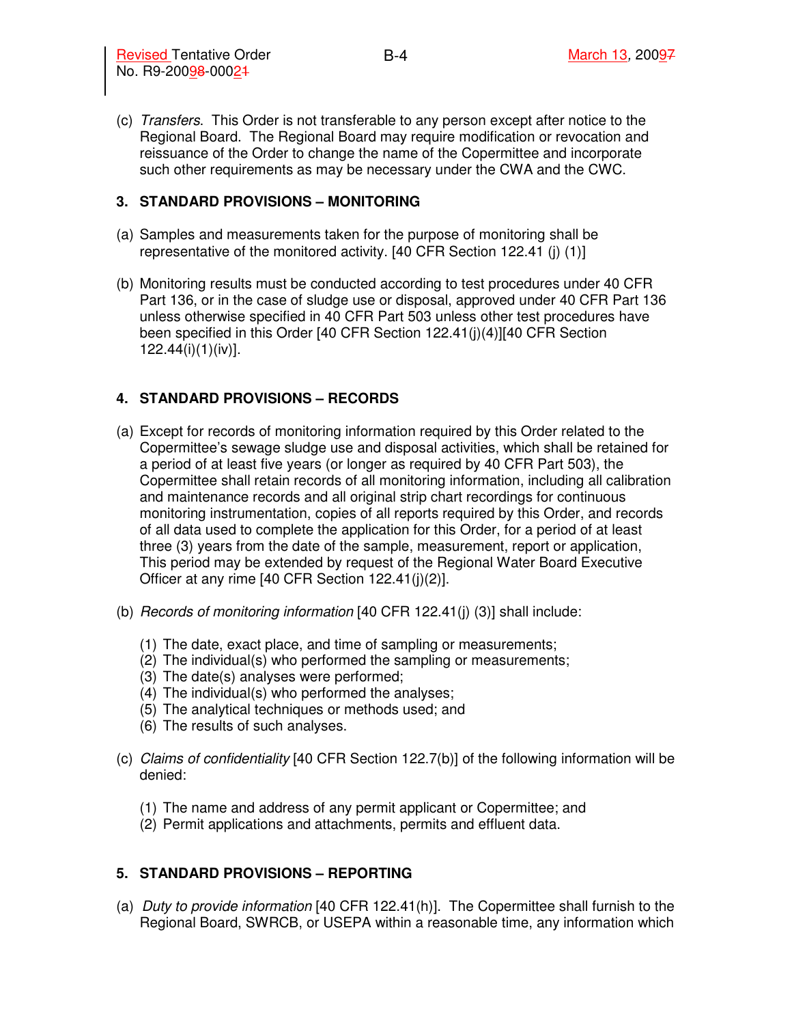(c) Transfers. This Order is not transferable to any person except after notice to the Regional Board. The Regional Board may require modification or revocation and reissuance of the Order to change the name of the Copermittee and incorporate such other requirements as may be necessary under the CWA and the CWC.

### **3. STANDARD PROVISIONS – MONITORING**

- (a) Samples and measurements taken for the purpose of monitoring shall be representative of the monitored activity. [40 CFR Section 122.41 (j) (1)]
- (b) Monitoring results must be conducted according to test procedures under 40 CFR Part 136, or in the case of sludge use or disposal, approved under 40 CFR Part 136 unless otherwise specified in 40 CFR Part 503 unless other test procedures have been specified in this Order [40 CFR Section 122.41(j)(4)][40 CFR Section 122.44(i)(1)(iv)].

## **4. STANDARD PROVISIONS – RECORDS**

- (a) Except for records of monitoring information required by this Order related to the Copermittee's sewage sludge use and disposal activities, which shall be retained for a period of at least five years (or longer as required by 40 CFR Part 503), the Copermittee shall retain records of all monitoring information, including all calibration and maintenance records and all original strip chart recordings for continuous monitoring instrumentation, copies of all reports required by this Order, and records of all data used to complete the application for this Order, for a period of at least three (3) years from the date of the sample, measurement, report or application, This period may be extended by request of the Regional Water Board Executive Officer at any rime [40 CFR Section 122.41(j)(2)].
- (b) Records of monitoring information [40 CFR 122.41(j) (3)] shall include:
	- (1) The date, exact place, and time of sampling or measurements;
	- (2) The individual(s) who performed the sampling or measurements;
	- (3) The date(s) analyses were performed;
	- (4) The individual(s) who performed the analyses;
	- (5) The analytical techniques or methods used; and
	- (6) The results of such analyses.
- (c) Claims of confidentiality [40 CFR Section 122.7(b)] of the following information will be denied:
	- (1) The name and address of any permit applicant or Copermittee; and
	- (2) Permit applications and attachments, permits and effluent data.

## **5. STANDARD PROVISIONS – REPORTING**

(a) Duty to provide information [40 CFR 122.41(h)]. The Copermittee shall furnish to the Regional Board, SWRCB, or USEPA within a reasonable time, any information which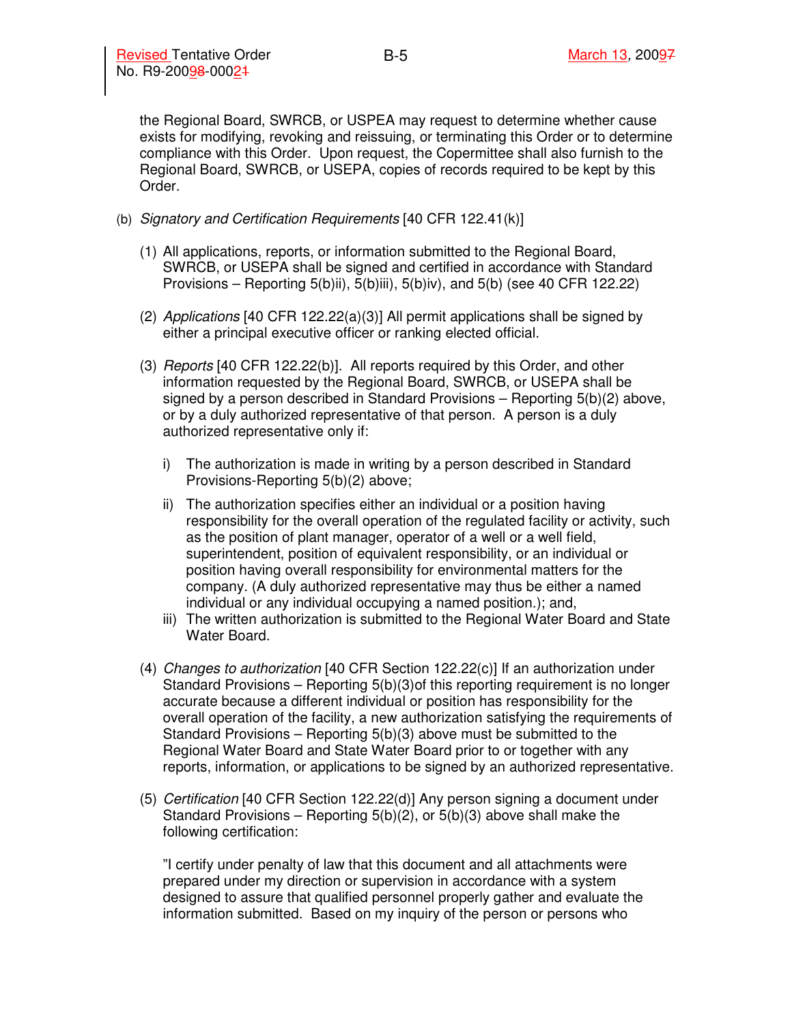the Regional Board, SWRCB, or USPEA may request to determine whether cause exists for modifying, revoking and reissuing, or terminating this Order or to determine compliance with this Order. Upon request, the Copermittee shall also furnish to the Regional Board, SWRCB, or USEPA, copies of records required to be kept by this Order.

- (b) Signatory and Certification Requirements [40 CFR 122.41(k)]
	- (1) All applications, reports, or information submitted to the Regional Board, SWRCB, or USEPA shall be signed and certified in accordance with Standard Provisions – Reporting 5(b)ii), 5(b)iii), 5(b)iv), and 5(b) (see 40 CFR 122.22)
	- (2) Applications [40 CFR 122.22(a)(3)] All permit applications shall be signed by either a principal executive officer or ranking elected official.
	- (3) *Reports* [40 CFR 122.22(b)]. All reports required by this Order, and other information requested by the Regional Board, SWRCB, or USEPA shall be signed by a person described in Standard Provisions – Reporting 5(b)(2) above, or by a duly authorized representative of that person. A person is a duly authorized representative only if:
		- i) The authorization is made in writing by a person described in Standard Provisions-Reporting 5(b)(2) above;
		- ii) The authorization specifies either an individual or a position having responsibility for the overall operation of the regulated facility or activity, such as the position of plant manager, operator of a well or a well field, superintendent, position of equivalent responsibility, or an individual or position having overall responsibility for environmental matters for the company. (A duly authorized representative may thus be either a named individual or any individual occupying a named position.); and,
		- iii) The written authorization is submitted to the Regional Water Board and State Water Board.
	- (4) Changes to authorization [40 CFR Section 122.22(c)] If an authorization under Standard Provisions – Reporting 5(b)(3)of this reporting requirement is no longer accurate because a different individual or position has responsibility for the overall operation of the facility, a new authorization satisfying the requirements of Standard Provisions – Reporting 5(b)(3) above must be submitted to the Regional Water Board and State Water Board prior to or together with any reports, information, or applications to be signed by an authorized representative.
	- (5) Certification [40 CFR Section 122.22(d)] Any person signing a document under Standard Provisions – Reporting 5(b)(2), or 5(b)(3) above shall make the following certification:

"I certify under penalty of law that this document and all attachments were prepared under my direction or supervision in accordance with a system designed to assure that qualified personnel properly gather and evaluate the information submitted. Based on my inquiry of the person or persons who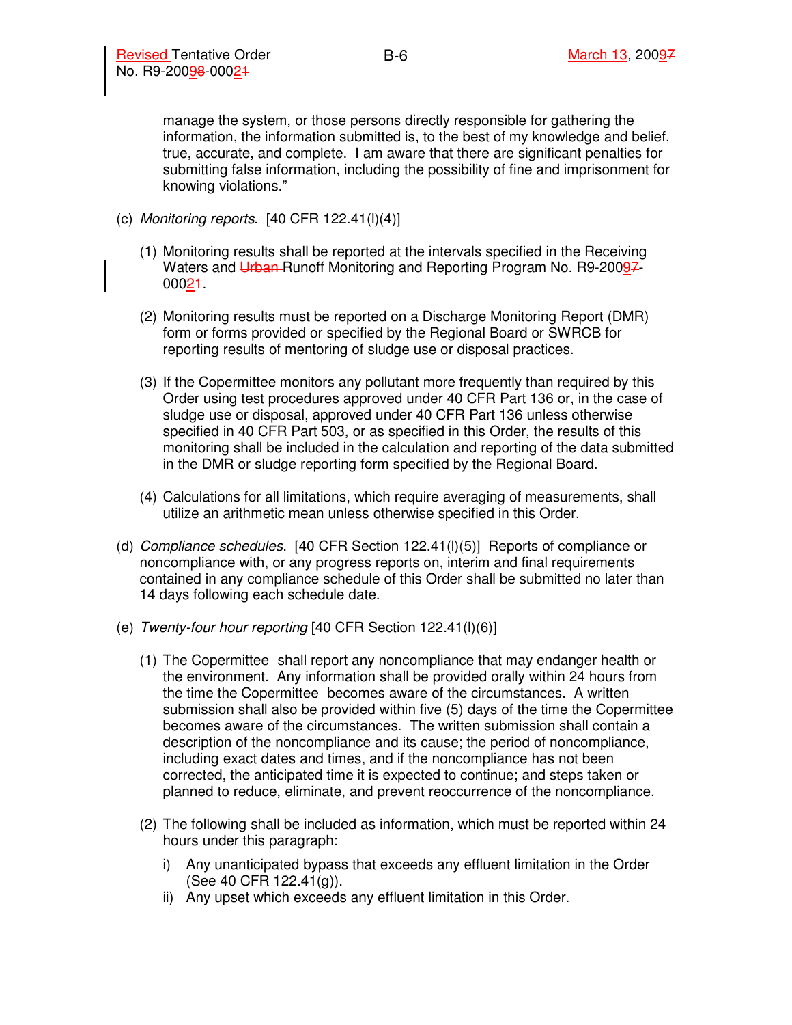manage the system, or those persons directly responsible for gathering the information, the information submitted is, to the best of my knowledge and belief, true, accurate, and complete. I am aware that there are significant penalties for submitting false information, including the possibility of fine and imprisonment for knowing violations."

- (c) Monitoring reports.  $[40 \text{ CFR } 122.41(l)(4)]$ 
	- (1) Monitoring results shall be reported at the intervals specified in the Receiving Waters and Urban-Runoff Monitoring and Reporting Program No. R9-20097-00021.
	- (2) Monitoring results must be reported on a Discharge Monitoring Report (DMR) form or forms provided or specified by the Regional Board or SWRCB for reporting results of mentoring of sludge use or disposal practices.
	- (3) If the Copermittee monitors any pollutant more frequently than required by this Order using test procedures approved under 40 CFR Part 136 or, in the case of sludge use or disposal, approved under 40 CFR Part 136 unless otherwise specified in 40 CFR Part 503, or as specified in this Order, the results of this monitoring shall be included in the calculation and reporting of the data submitted in the DMR or sludge reporting form specified by the Regional Board.
	- (4) Calculations for all limitations, which require averaging of measurements, shall utilize an arithmetic mean unless otherwise specified in this Order.
- (d) Compliance schedules. [40 CFR Section 122.41(l)(5)] Reports of compliance or noncompliance with, or any progress reports on, interim and final requirements contained in any compliance schedule of this Order shall be submitted no later than 14 days following each schedule date.
- (e) Twenty-four hour reporting [40 CFR Section 122.41(l)(6)]
	- (1) The Copermittee shall report any noncompliance that may endanger health or the environment. Any information shall be provided orally within 24 hours from the time the Copermittee becomes aware of the circumstances. A written submission shall also be provided within five (5) days of the time the Copermittee becomes aware of the circumstances. The written submission shall contain a description of the noncompliance and its cause; the period of noncompliance, including exact dates and times, and if the noncompliance has not been corrected, the anticipated time it is expected to continue; and steps taken or planned to reduce, eliminate, and prevent reoccurrence of the noncompliance.
	- (2) The following shall be included as information, which must be reported within 24 hours under this paragraph:
		- i) Any unanticipated bypass that exceeds any effluent limitation in the Order (See 40 CFR 122.41(g)).
		- ii) Any upset which exceeds any effluent limitation in this Order.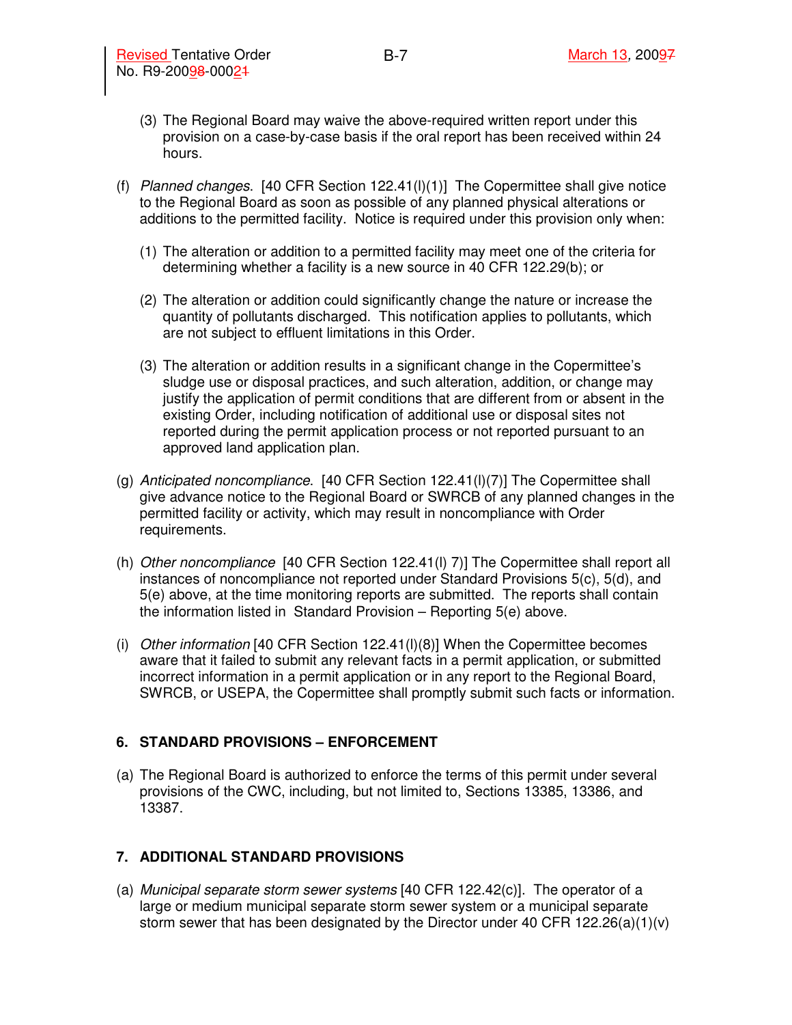- (3) The Regional Board may waive the above-required written report under this provision on a case-by-case basis if the oral report has been received within 24 hours.
- (f) Planned changes. [40 CFR Section 122.41(l)(1)] The Copermittee shall give notice to the Regional Board as soon as possible of any planned physical alterations or additions to the permitted facility. Notice is required under this provision only when:
	- (1) The alteration or addition to a permitted facility may meet one of the criteria for determining whether a facility is a new source in 40 CFR 122.29(b); or
	- (2) The alteration or addition could significantly change the nature or increase the quantity of pollutants discharged. This notification applies to pollutants, which are not subject to effluent limitations in this Order.
	- (3) The alteration or addition results in a significant change in the Copermittee's sludge use or disposal practices, and such alteration, addition, or change may justify the application of permit conditions that are different from or absent in the existing Order, including notification of additional use or disposal sites not reported during the permit application process or not reported pursuant to an approved land application plan.
- (g) Anticipated noncompliance. [40 CFR Section  $122.41(1)(7)$ ] The Copermittee shall give advance notice to the Regional Board or SWRCB of any planned changes in the permitted facility or activity, which may result in noncompliance with Order requirements.
- (h) Other noncompliance [40 CFR Section 122.41(l) 7)] The Copermittee shall report all instances of noncompliance not reported under Standard Provisions 5(c), 5(d), and 5(e) above, at the time monitoring reports are submitted. The reports shall contain the information listed in Standard Provision – Reporting 5(e) above.
- (i) Other information [40 CFR Section 122.41(l)(8)] When the Copermittee becomes aware that it failed to submit any relevant facts in a permit application, or submitted incorrect information in a permit application or in any report to the Regional Board, SWRCB, or USEPA, the Copermittee shall promptly submit such facts or information.

#### **6. STANDARD PROVISIONS – ENFORCEMENT**

(a) The Regional Board is authorized to enforce the terms of this permit under several provisions of the CWC, including, but not limited to, Sections 13385, 13386, and 13387.

#### **7. ADDITIONAL STANDARD PROVISIONS**

(a) Municipal separate storm sewer systems [40 CFR 122.42(c)]. The operator of a large or medium municipal separate storm sewer system or a municipal separate storm sewer that has been designated by the Director under 40 CFR 122.26(a)(1)(v)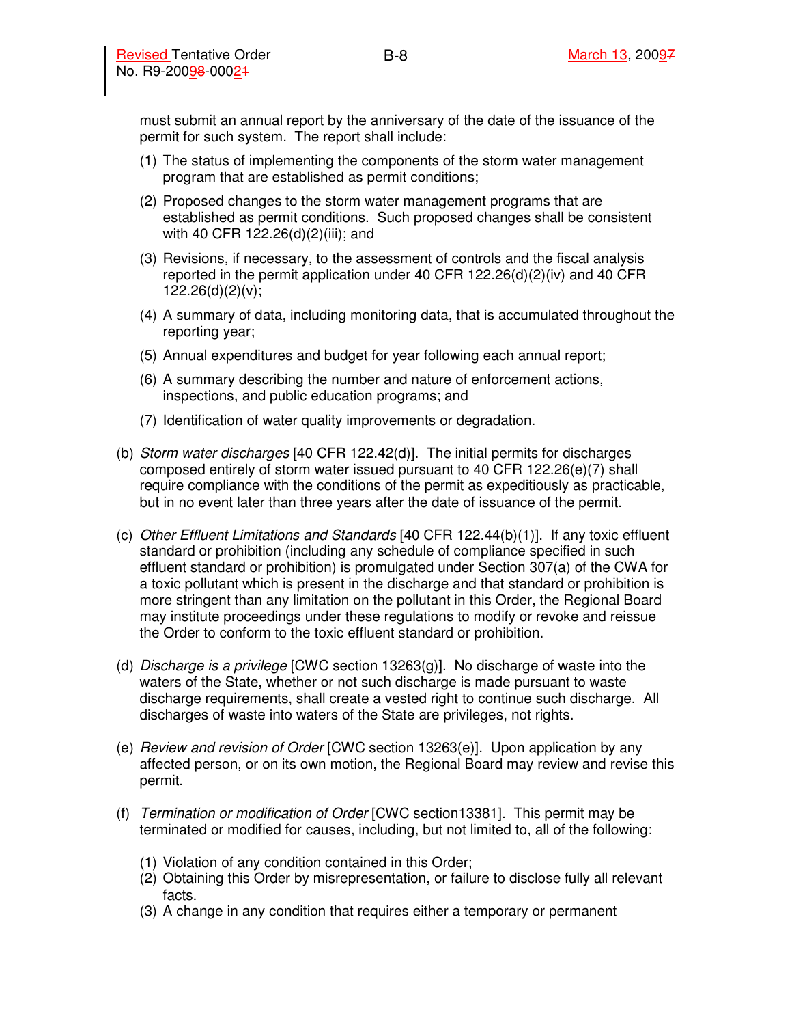must submit an annual report by the anniversary of the date of the issuance of the permit for such system. The report shall include:

- (1) The status of implementing the components of the storm water management program that are established as permit conditions;
- (2) Proposed changes to the storm water management programs that are established as permit conditions. Such proposed changes shall be consistent with 40 CFR 122.26(d)(2)(iii); and
- (3) Revisions, if necessary, to the assessment of controls and the fiscal analysis reported in the permit application under 40 CFR 122.26(d)(2)(iv) and 40 CFR 122.26(d)(2)(v);
- (4) A summary of data, including monitoring data, that is accumulated throughout the reporting year;
- (5) Annual expenditures and budget for year following each annual report;
- (6) A summary describing the number and nature of enforcement actions, inspections, and public education programs; and
- (7) Identification of water quality improvements or degradation.
- (b) Storm water discharges [40 CFR 122.42(d)]. The initial permits for discharges composed entirely of storm water issued pursuant to 40 CFR 122.26(e)(7) shall require compliance with the conditions of the permit as expeditiously as practicable, but in no event later than three years after the date of issuance of the permit.
- (c) Other Effluent Limitations and Standards [40 CFR 122.44(b)(1)]. If any toxic effluent standard or prohibition (including any schedule of compliance specified in such effluent standard or prohibition) is promulgated under Section 307(a) of the CWA for a toxic pollutant which is present in the discharge and that standard or prohibition is more stringent than any limitation on the pollutant in this Order, the Regional Board may institute proceedings under these regulations to modify or revoke and reissue the Order to conform to the toxic effluent standard or prohibition.
- (d) Discharge is a privilege [CWC section 13263(g)]. No discharge of waste into the waters of the State, whether or not such discharge is made pursuant to waste discharge requirements, shall create a vested right to continue such discharge. All discharges of waste into waters of the State are privileges, not rights.
- (e)  $Review$  and revision of Order  $[CWC$  section  $13263(e)]$ . Upon application by any affected person, or on its own motion, the Regional Board may review and revise this permit.
- (f) Termination or modification of Order [CWC section13381]. This permit may be terminated or modified for causes, including, but not limited to, all of the following:
	- (1) Violation of any condition contained in this Order;
	- (2) Obtaining this Order by misrepresentation, or failure to disclose fully all relevant facts.
	- (3) A change in any condition that requires either a temporary or permanent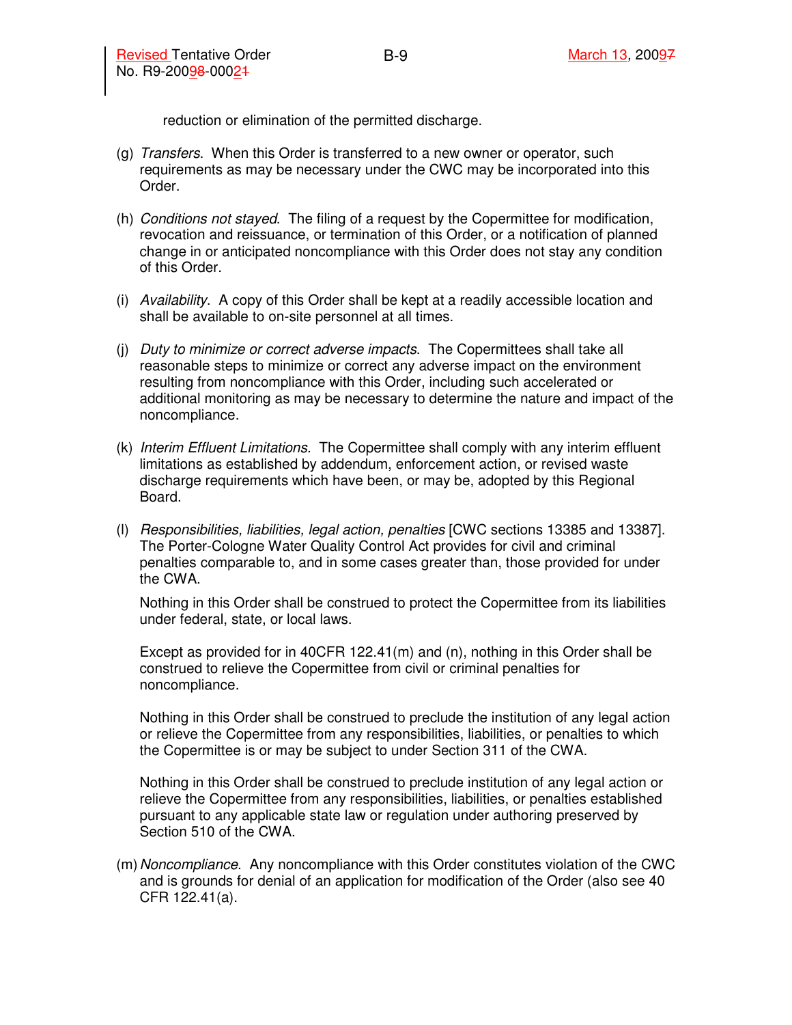reduction or elimination of the permitted discharge.

- (g) Transfers. When this Order is transferred to a new owner or operator, such requirements as may be necessary under the CWC may be incorporated into this Order.
- (h) Conditions not stayed. The filing of a request by the Copermittee for modification, revocation and reissuance, or termination of this Order, or a notification of planned change in or anticipated noncompliance with this Order does not stay any condition of this Order.
- (i) Availability. A copy of this Order shall be kept at a readily accessible location and shall be available to on-site personnel at all times.
- (j) Duty to minimize or correct adverse impacts. The Copermittees shall take all reasonable steps to minimize or correct any adverse impact on the environment resulting from noncompliance with this Order, including such accelerated or additional monitoring as may be necessary to determine the nature and impact of the noncompliance.
- (k) Interim Effluent Limitations. The Copermittee shall comply with any interim effluent limitations as established by addendum, enforcement action, or revised waste discharge requirements which have been, or may be, adopted by this Regional Board.
- (l) Responsibilities, liabilities, legal action, penalties [CWC sections 13385 and 13387]. The Porter-Cologne Water Quality Control Act provides for civil and criminal penalties comparable to, and in some cases greater than, those provided for under the CWA.

Nothing in this Order shall be construed to protect the Copermittee from its liabilities under federal, state, or local laws.

Except as provided for in 40CFR 122.41(m) and (n), nothing in this Order shall be construed to relieve the Copermittee from civil or criminal penalties for noncompliance.

Nothing in this Order shall be construed to preclude the institution of any legal action or relieve the Copermittee from any responsibilities, liabilities, or penalties to which the Copermittee is or may be subject to under Section 311 of the CWA.

Nothing in this Order shall be construed to preclude institution of any legal action or relieve the Copermittee from any responsibilities, liabilities, or penalties established pursuant to any applicable state law or regulation under authoring preserved by Section 510 of the CWA.

(m) Noncompliance. Any noncompliance with this Order constitutes violation of the CWC and is grounds for denial of an application for modification of the Order (also see 40 CFR 122.41(a).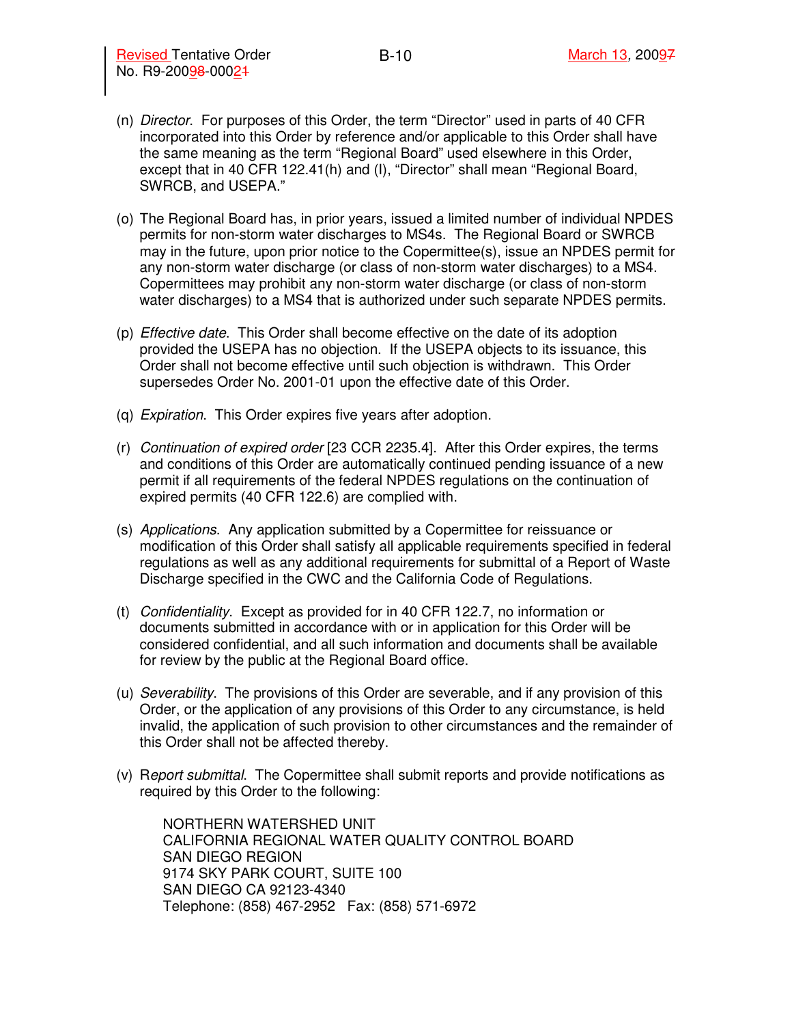- (n) Director. For purposes of this Order, the term "Director" used in parts of 40 CFR incorporated into this Order by reference and/or applicable to this Order shall have the same meaning as the term "Regional Board" used elsewhere in this Order, except that in 40 CFR 122.41(h) and (I), "Director" shall mean "Regional Board, SWRCB, and USEPA."
- (o) The Regional Board has, in prior years, issued a limited number of individual NPDES permits for non-storm water discharges to MS4s. The Regional Board or SWRCB may in the future, upon prior notice to the Copermittee(s), issue an NPDES permit for any non-storm water discharge (or class of non-storm water discharges) to a MS4. Copermittees may prohibit any non-storm water discharge (or class of non-storm water discharges) to a MS4 that is authorized under such separate NPDES permits.
- (p) Effective date. This Order shall become effective on the date of its adoption provided the USEPA has no objection. If the USEPA objects to its issuance, this Order shall not become effective until such objection is withdrawn. This Order supersedes Order No. 2001-01 upon the effective date of this Order.
- (q) Expiration. This Order expires five years after adoption.
- (r) Continuation of expired order [23 CCR 2235.4]. After this Order expires, the terms and conditions of this Order are automatically continued pending issuance of a new permit if all requirements of the federal NPDES regulations on the continuation of expired permits (40 CFR 122.6) are complied with.
- (s) Applications. Any application submitted by a Copermittee for reissuance or modification of this Order shall satisfy all applicable requirements specified in federal regulations as well as any additional requirements for submittal of a Report of Waste Discharge specified in the CWC and the California Code of Regulations.
- (t) Confidentiality. Except as provided for in 40 CFR 122.7, no information or documents submitted in accordance with or in application for this Order will be considered confidential, and all such information and documents shall be available for review by the public at the Regional Board office.
- (u) Severability. The provisions of this Order are severable, and if any provision of this Order, or the application of any provisions of this Order to any circumstance, is held invalid, the application of such provision to other circumstances and the remainder of this Order shall not be affected thereby.
- (v) Report submittal. The Copermittee shall submit reports and provide notifications as required by this Order to the following:

NORTHERN WATERSHED UNIT CALIFORNIA REGIONAL WATER QUALITY CONTROL BOARD SAN DIEGO REGION 9174 SKY PARK COURT, SUITE 100 SAN DIEGO CA 92123-4340 Telephone: (858) 467-2952 Fax: (858) 571-6972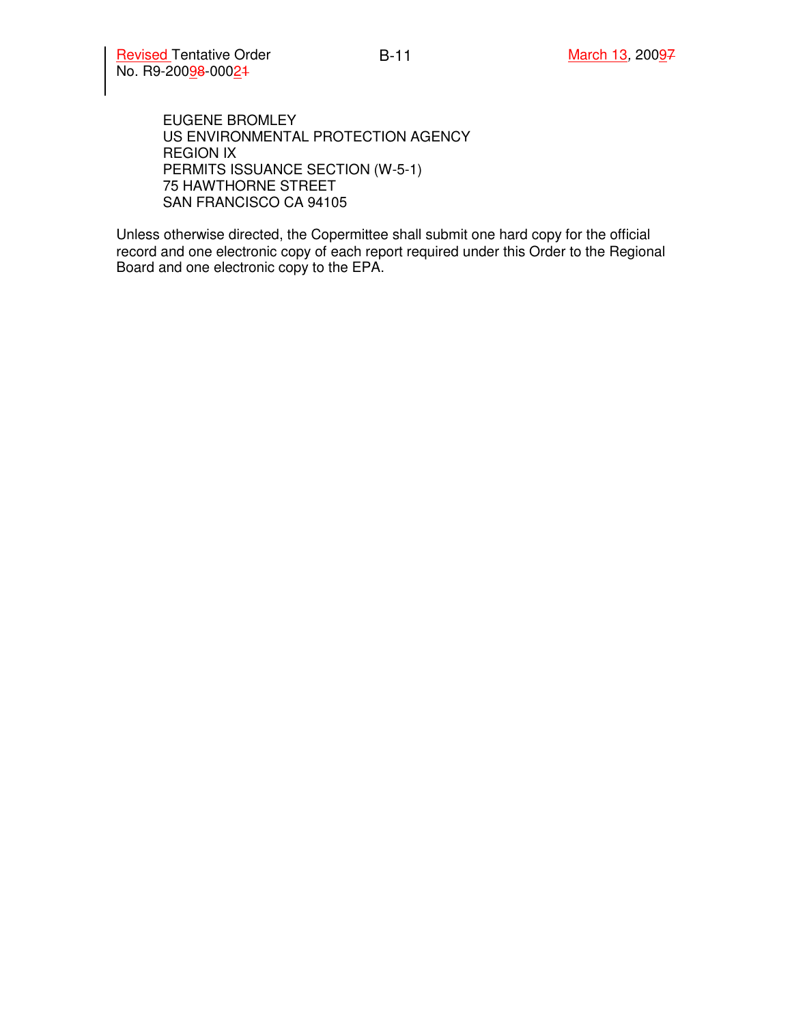Revised Tentative Order March 13, 20097 No. R9-20098-00024

EUGENE BROMLEY US ENVIRONMENTAL PROTECTION AGENCY REGION IX PERMITS ISSUANCE SECTION (W-5-1) 75 HAWTHORNE STREET SAN FRANCISCO CA 94105

Unless otherwise directed, the Copermittee shall submit one hard copy for the official record and one electronic copy of each report required under this Order to the Regional Board and one electronic copy to the EPA.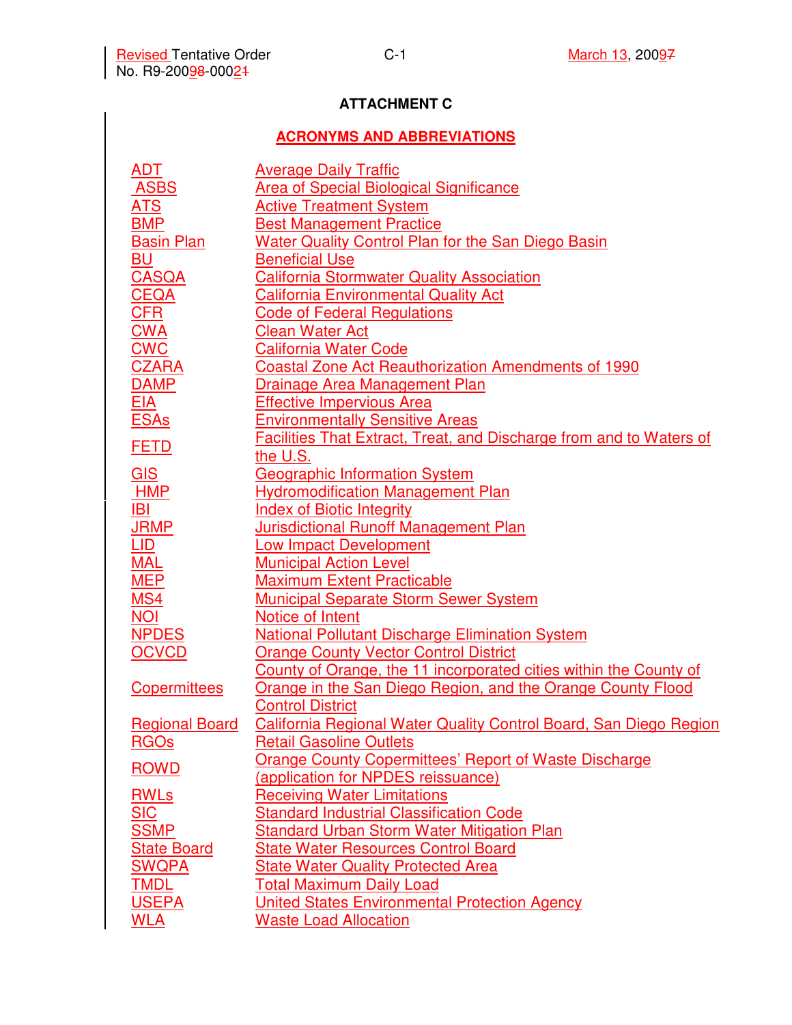# **ATTACHMENT C**

# **ACRONYMS AND ABBREVIATIONS**

| <u>ADT</u>            | <b>Average Daily Traffic</b>                                        |
|-----------------------|---------------------------------------------------------------------|
| <b>ASBS</b>           | <b>Area of Special Biological Significance</b>                      |
| <u>ATS</u>            | <b>Active Treatment System</b>                                      |
| <b>BMP</b>            | <b>Best Management Practice</b>                                     |
| <b>Basin Plan</b>     | <b>Water Quality Control Plan for the San Diego Basin</b>           |
| <u>BU</u>             | <b>Beneficial Use</b>                                               |
| <b>CASQA</b>          | <b>California Stormwater Quality Association</b>                    |
| <b>CEQA</b>           | <b>California Environmental Quality Act</b>                         |
| <b>CFR</b>            | <b>Code of Federal Regulations</b>                                  |
| <b>CWA</b>            | Clean Water Act                                                     |
| <b>CWC</b>            | <b>California Water Code</b>                                        |
| <b>CZARA</b>          | <b>Coastal Zone Act Reauthorization Amendments of 1990</b>          |
| <b>DAMP</b>           | <u>Drainage Area Management Plan</u>                                |
| <u>EIA</u>            | <b>Effective Impervious Area</b>                                    |
| <b>ESAs</b>           | <b>Environmentally Sensitive Areas</b>                              |
| <b>FETD</b>           | Facilities That Extract, Treat, and Discharge from and to Waters of |
|                       | the U.S.                                                            |
| GIS                   | <b>Geographic Information System</b>                                |
| <b>HMP</b>            | <b>Hydromodification Management Plan</b>                            |
| IBI                   | <b>Index of Biotic Integrity</b>                                    |
| <b>JRMP</b>           | <b>Jurisdictional Runoff Management Plan</b>                        |
| LID                   | <b>Low Impact Development</b>                                       |
| <b>MAL</b>            | <b>Municipal Action Level</b>                                       |
| <b>MEP</b>            | <b>Maximum Extent Practicable</b>                                   |
| <b>MS4</b>            | <b>Municipal Separate Storm Sewer System</b>                        |
| <b>NOI</b>            | Notice of Intent                                                    |
| <b>NPDES</b>          | <b>National Pollutant Discharge Elimination System</b>              |
| <b>OCVCD</b>          | <b>Orange County Vector Control District</b>                        |
|                       | County of Orange, the 11 incorporated cities within the County of   |
| Copermittees          | Orange in the San Diego Region, and the Orange County Flood         |
|                       | <b>Control District</b>                                             |
| <b>Regional Board</b> | California Regional Water Quality Control Board, San Diego Region   |
| <u>RGOs</u>           | <b>Retail Gasoline Outlets</b>                                      |
| <b>ROWD</b>           | <b>Orange County Copermittees' Report of Waste Discharge</b>        |
|                       | (application for NPDES reissuance)                                  |
| <b>RWLs</b>           | <b>Receiving Water Limitations</b>                                  |
| SIC                   | <b>Standard Industrial Classification Code</b>                      |
| <b>SSMP</b>           | <b>Standard Urban Storm Water Mitigation Plan</b>                   |
| <b>State Board</b>    | <b>State Water Resources Control Board</b>                          |
| <b>SWQPA</b>          | <b>State Water Quality Protected Area</b>                           |
| TMDL                  | <b>Total Maximum Daily Load</b>                                     |
| <b>USEPA</b>          | <b>United States Environmental Protection Agency</b>                |
| <b>WLA</b>            | <b>Waste Load Allocation</b>                                        |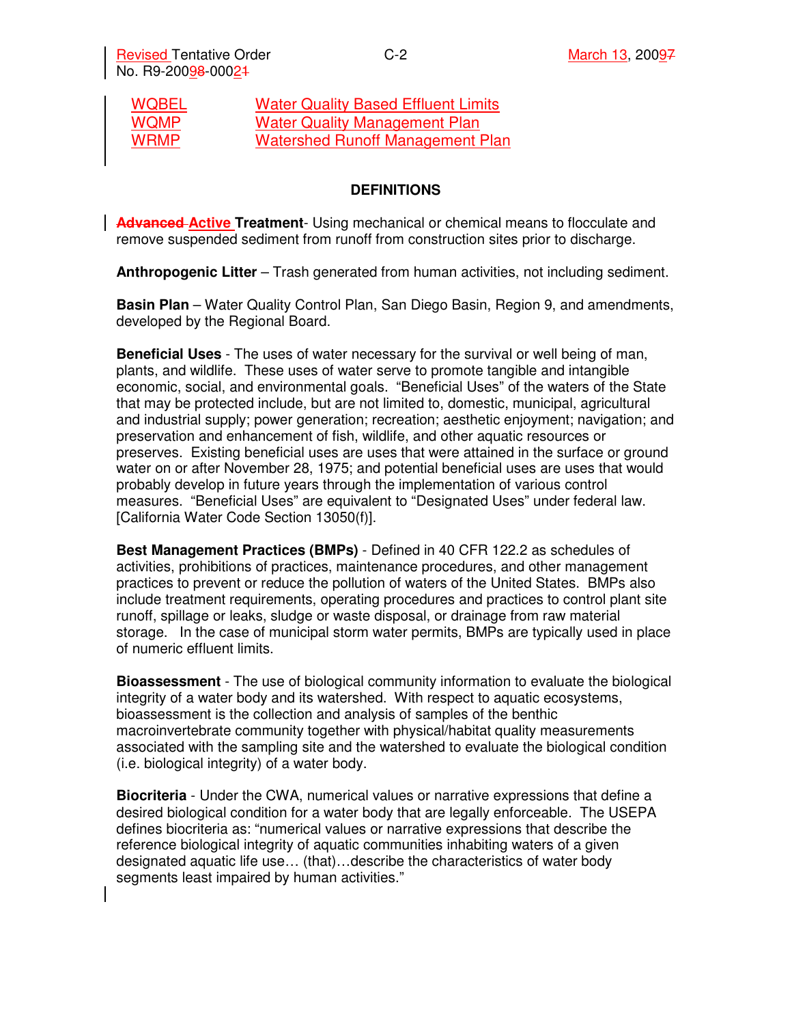| <b>WQBEL</b> | <b>Water Quality Based Effluent Limits</b> |
|--------------|--------------------------------------------|
| <b>WQMP</b>  | <b>Water Quality Management Plan</b>       |
| <b>WRMP</b>  | <b>Watershed Runoff Management Plan</b>    |

#### **DEFINITIONS**

**Advanced Active Treatment**- Using mechanical or chemical means to flocculate and remove suspended sediment from runoff from construction sites prior to discharge.

**Anthropogenic Litter** – Trash generated from human activities, not including sediment.

**Basin Plan** – Water Quality Control Plan, San Diego Basin, Region 9, and amendments, developed by the Regional Board.

**Beneficial Uses** - The uses of water necessary for the survival or well being of man, plants, and wildlife. These uses of water serve to promote tangible and intangible economic, social, and environmental goals. "Beneficial Uses" of the waters of the State that may be protected include, but are not limited to, domestic, municipal, agricultural and industrial supply; power generation; recreation; aesthetic enjoyment; navigation; and preservation and enhancement of fish, wildlife, and other aquatic resources or preserves. Existing beneficial uses are uses that were attained in the surface or ground water on or after November 28, 1975; and potential beneficial uses are uses that would probably develop in future years through the implementation of various control measures. "Beneficial Uses" are equivalent to "Designated Uses" under federal law. [California Water Code Section 13050(f)].

**Best Management Practices (BMPs)** - Defined in 40 CFR 122.2 as schedules of activities, prohibitions of practices, maintenance procedures, and other management practices to prevent or reduce the pollution of waters of the United States. BMPs also include treatment requirements, operating procedures and practices to control plant site runoff, spillage or leaks, sludge or waste disposal, or drainage from raw material storage. In the case of municipal storm water permits, BMPs are typically used in place of numeric effluent limits.

**Bioassessment** - The use of biological community information to evaluate the biological integrity of a water body and its watershed. With respect to aquatic ecosystems, bioassessment is the collection and analysis of samples of the benthic macroinvertebrate community together with physical/habitat quality measurements associated with the sampling site and the watershed to evaluate the biological condition (i.e. biological integrity) of a water body.

**Biocriteria** - Under the CWA, numerical values or narrative expressions that define a desired biological condition for a water body that are legally enforceable. The USEPA defines biocriteria as: "numerical values or narrative expressions that describe the reference biological integrity of aquatic communities inhabiting waters of a given designated aquatic life use… (that)…describe the characteristics of water body segments least impaired by human activities."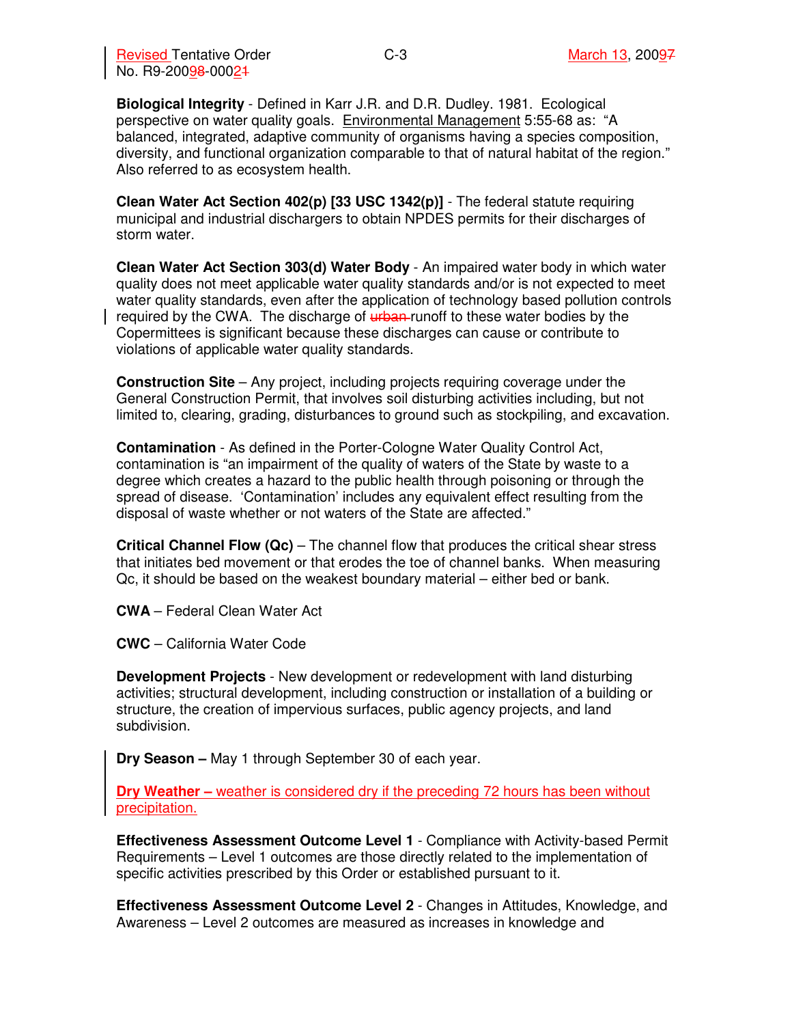**Biological Integrity** - Defined in Karr J.R. and D.R. Dudley. 1981. Ecological perspective on water quality goals. Environmental Management 5:55-68 as: "A balanced, integrated, adaptive community of organisms having a species composition, diversity, and functional organization comparable to that of natural habitat of the region." Also referred to as ecosystem health.

**Clean Water Act Section 402(p) [33 USC 1342(p)]** - The federal statute requiring municipal and industrial dischargers to obtain NPDES permits for their discharges of storm water.

**Clean Water Act Section 303(d) Water Body** - An impaired water body in which water quality does not meet applicable water quality standards and/or is not expected to meet water quality standards, even after the application of technology based pollution controls required by the CWA. The discharge of  $\frac{u}{b}$  runoff to these water bodies by the Copermittees is significant because these discharges can cause or contribute to violations of applicable water quality standards.

**Construction Site** – Any project, including projects requiring coverage under the General Construction Permit, that involves soil disturbing activities including, but not limited to, clearing, grading, disturbances to ground such as stockpiling, and excavation.

**Contamination** - As defined in the Porter-Cologne Water Quality Control Act, contamination is "an impairment of the quality of waters of the State by waste to a degree which creates a hazard to the public health through poisoning or through the spread of disease. 'Contamination' includes any equivalent effect resulting from the disposal of waste whether or not waters of the State are affected."

**Critical Channel Flow (Qc)** – The channel flow that produces the critical shear stress that initiates bed movement or that erodes the toe of channel banks. When measuring Qc, it should be based on the weakest boundary material – either bed or bank.

**CWA** – Federal Clean Water Act

**CWC** – California Water Code

**Development Projects** - New development or redevelopment with land disturbing activities; structural development, including construction or installation of a building or structure, the creation of impervious surfaces, public agency projects, and land subdivision.

**Dry Season –** May 1 through September 30 of each year.

**Dry Weather –** weather is considered dry if the preceding 72 hours has been without precipitation.

**Effectiveness Assessment Outcome Level 1** - Compliance with Activity-based Permit Requirements – Level 1 outcomes are those directly related to the implementation of specific activities prescribed by this Order or established pursuant to it.

**Effectiveness Assessment Outcome Level 2** - Changes in Attitudes, Knowledge, and Awareness – Level 2 outcomes are measured as increases in knowledge and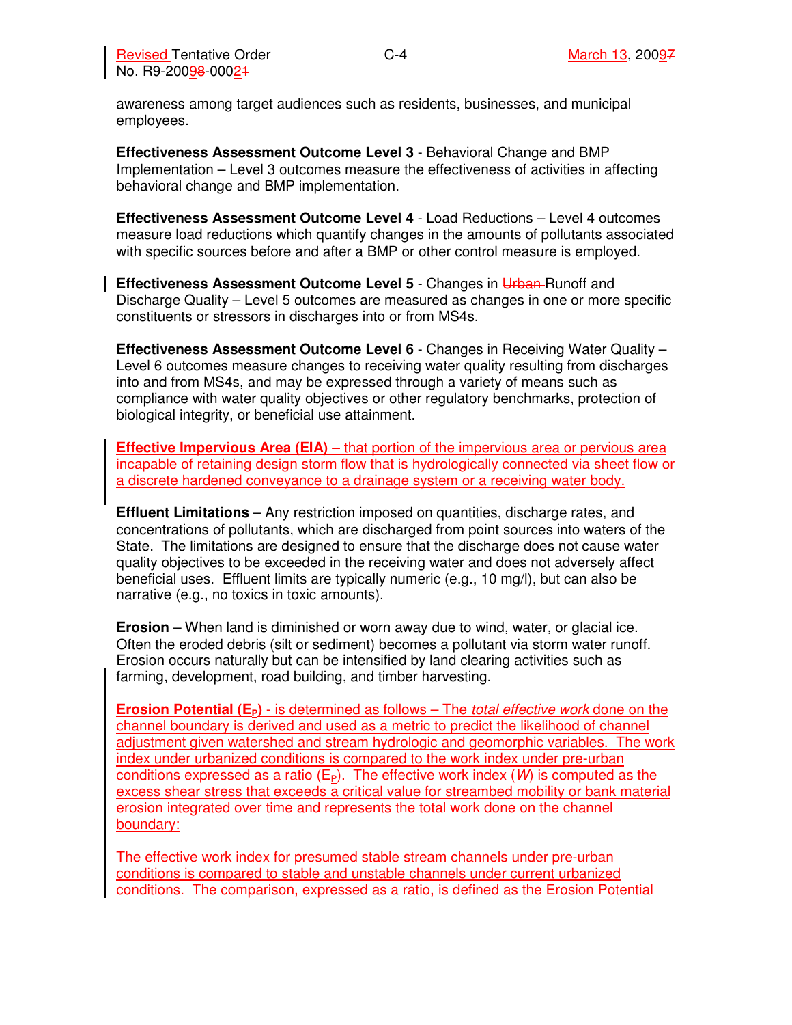awareness among target audiences such as residents, businesses, and municipal employees.

**Effectiveness Assessment Outcome Level 3** - Behavioral Change and BMP Implementation – Level 3 outcomes measure the effectiveness of activities in affecting behavioral change and BMP implementation.

**Effectiveness Assessment Outcome Level 4** - Load Reductions – Level 4 outcomes measure load reductions which quantify changes in the amounts of pollutants associated with specific sources before and after a BMP or other control measure is employed.

**Effectiveness Assessment Outcome Level 5 - Changes in Urban-Runoff and** Discharge Quality – Level 5 outcomes are measured as changes in one or more specific constituents or stressors in discharges into or from MS4s.

**Effectiveness Assessment Outcome Level 6** - Changes in Receiving Water Quality – Level 6 outcomes measure changes to receiving water quality resulting from discharges into and from MS4s, and may be expressed through a variety of means such as compliance with water quality objectives or other regulatory benchmarks, protection of biological integrity, or beneficial use attainment.

**Effective Impervious Area (EIA)** – that portion of the impervious area or pervious area incapable of retaining design storm flow that is hydrologically connected via sheet flow or a discrete hardened conveyance to a drainage system or a receiving water body.

**Effluent Limitations** – Any restriction imposed on quantities, discharge rates, and concentrations of pollutants, which are discharged from point sources into waters of the State. The limitations are designed to ensure that the discharge does not cause water quality objectives to be exceeded in the receiving water and does not adversely affect beneficial uses. Effluent limits are typically numeric (e.g., 10 mg/l), but can also be narrative (e.g., no toxics in toxic amounts).

**Erosion** – When land is diminished or worn away due to wind, water, or glacial ice. Often the eroded debris (silt or sediment) becomes a pollutant via storm water runoff. Erosion occurs naturally but can be intensified by land clearing activities such as farming, development, road building, and timber harvesting.

**Erosion Potential (EP)** - is determined as follows – The total effective work done on the channel boundary is derived and used as a metric to predict the likelihood of channel adjustment given watershed and stream hydrologic and geomorphic variables. The work index under urbanized conditions is compared to the work index under pre-urban conditions expressed as a ratio ( $E_P$ ). The effective work index (W) is computed as the excess shear stress that exceeds a critical value for streambed mobility or bank material erosion integrated over time and represents the total work done on the channel boundary:

The effective work index for presumed stable stream channels under pre-urban conditions is compared to stable and unstable channels under current urbanized conditions. The comparison, expressed as a ratio, is defined as the Erosion Potential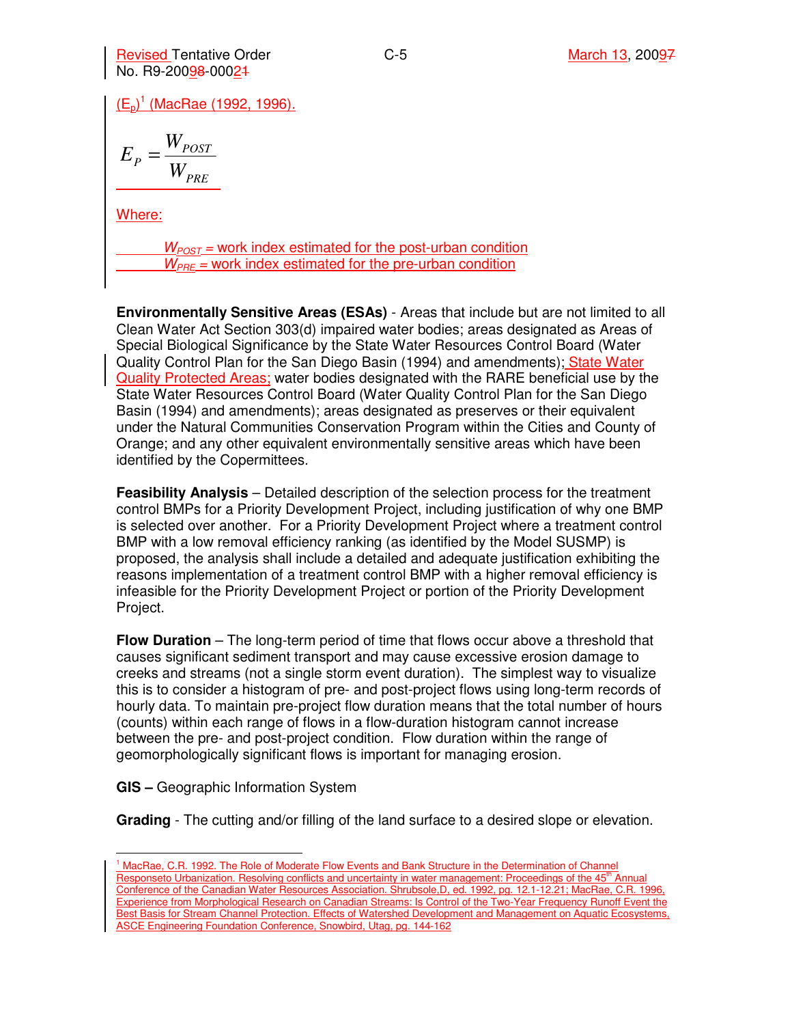Revised Tentative Order March 13, 20097 No. R9-20098-00021

<u>(E<sub>p</sub>)<sup>1</sup> (MacRae (1992, 1996).</u>

$$
E_{P} = \frac{W_{POST}}{W_{PRE}}
$$

Where:

 $W_{POST}$  = work index estimated for the post-urban condition  $W_{PRE}$  = work index estimated for the pre-urban condition

**Environmentally Sensitive Areas (ESAs)** - Areas that include but are not limited to all Clean Water Act Section 303(d) impaired water bodies; areas designated as Areas of Special Biological Significance by the State Water Resources Control Board (Water Quality Control Plan for the San Diego Basin (1994) and amendments); State Water Quality Protected Areas; water bodies designated with the RARE beneficial use by the State Water Resources Control Board (Water Quality Control Plan for the San Diego Basin (1994) and amendments); areas designated as preserves or their equivalent under the Natural Communities Conservation Program within the Cities and County of Orange; and any other equivalent environmentally sensitive areas which have been identified by the Copermittees.

**Feasibility Analysis** – Detailed description of the selection process for the treatment control BMPs for a Priority Development Project, including justification of why one BMP is selected over another. For a Priority Development Project where a treatment control BMP with a low removal efficiency ranking (as identified by the Model SUSMP) is proposed, the analysis shall include a detailed and adequate justification exhibiting the reasons implementation of a treatment control BMP with a higher removal efficiency is infeasible for the Priority Development Project or portion of the Priority Development Project.

**Flow Duration** – The long-term period of time that flows occur above a threshold that causes significant sediment transport and may cause excessive erosion damage to creeks and streams (not a single storm event duration). The simplest way to visualize this is to consider a histogram of pre- and post-project flows using long-term records of hourly data. To maintain pre-project flow duration means that the total number of hours (counts) within each range of flows in a flow-duration histogram cannot increase between the pre- and post-project condition. Flow duration within the range of geomorphologically significant flows is important for managing erosion.

**GIS –** Geographic Information System

**Grading** - The cutting and/or filling of the land surface to a desired slope or elevation.

 $\overline{a}$ <sup>1</sup> MacRae, C.R. 1992. The Role of Moderate Flow Events and Bank Structure in the Determination of Channel Responseto Urbanization. Resolving conflicts and uncertainty in water management: Proceedings of the 45<sup>th</sup> Annual Conference of the Canadian Water Resources Association. Shrubsole,D, ed. 1992, pg. 12.1-12.21; MacRae, C.R. 1996, Experience from Morphological Research on Canadian Streams: Is Control of the Two-Year Frequency Runoff Event the Best Basis for Stream Channel Protection. Effects of Watershed Development and Management on Aquatic Ecosystems, ASCE Engineering Foundation Conference, Snowbird, Utag, pg. 144-162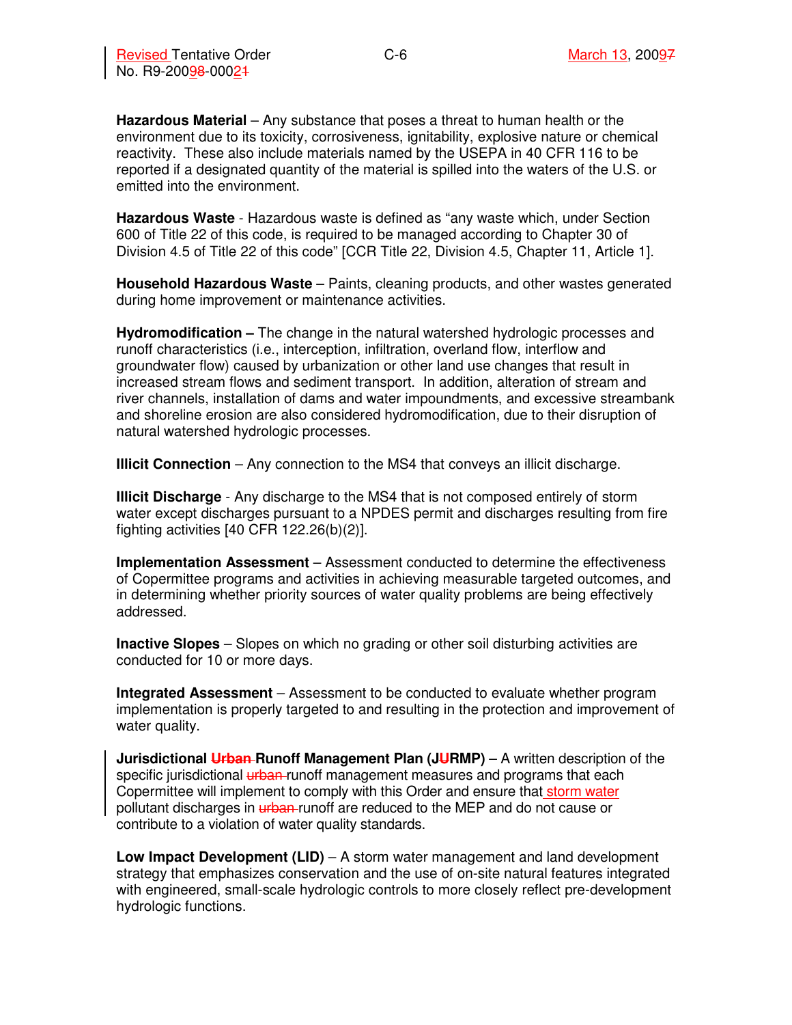**Hazardous Material** – Any substance that poses a threat to human health or the environment due to its toxicity, corrosiveness, ignitability, explosive nature or chemical reactivity. These also include materials named by the USEPA in 40 CFR 116 to be reported if a designated quantity of the material is spilled into the waters of the U.S. or emitted into the environment.

**Hazardous Waste** - Hazardous waste is defined as "any waste which, under Section 600 of Title 22 of this code, is required to be managed according to Chapter 30 of Division 4.5 of Title 22 of this code" [CCR Title 22, Division 4.5, Chapter 11, Article 1].

**Household Hazardous Waste** – Paints, cleaning products, and other wastes generated during home improvement or maintenance activities.

**Hydromodification –** The change in the natural watershed hydrologic processes and runoff characteristics (i.e., interception, infiltration, overland flow, interflow and groundwater flow) caused by urbanization or other land use changes that result in increased stream flows and sediment transport. In addition, alteration of stream and river channels, installation of dams and water impoundments, and excessive streambank and shoreline erosion are also considered hydromodification, due to their disruption of natural watershed hydrologic processes.

**Illicit Connection** – Any connection to the MS4 that conveys an illicit discharge.

**Illicit Discharge** - Any discharge to the MS4 that is not composed entirely of storm water except discharges pursuant to a NPDES permit and discharges resulting from fire fighting activities [40 CFR 122.26(b)(2)].

**Implementation Assessment** – Assessment conducted to determine the effectiveness of Copermittee programs and activities in achieving measurable targeted outcomes, and in determining whether priority sources of water quality problems are being effectively addressed.

**Inactive Slopes** – Slopes on which no grading or other soil disturbing activities are conducted for 10 or more days.

**Integrated Assessment** – Assessment to be conducted to evaluate whether program implementation is properly targeted to and resulting in the protection and improvement of water quality.

**Jurisdictional Urban-Runoff Management Plan (JURMP)** – A written description of the specific jurisdictional urban-runoff management measures and programs that each Copermittee will implement to comply with this Order and ensure that storm water pollutant discharges in **urban-runoff** are reduced to the MEP and do not cause or contribute to a violation of water quality standards.

**Low Impact Development (LID)** – A storm water management and land development strategy that emphasizes conservation and the use of on-site natural features integrated with engineered, small-scale hydrologic controls to more closely reflect pre-development hydrologic functions.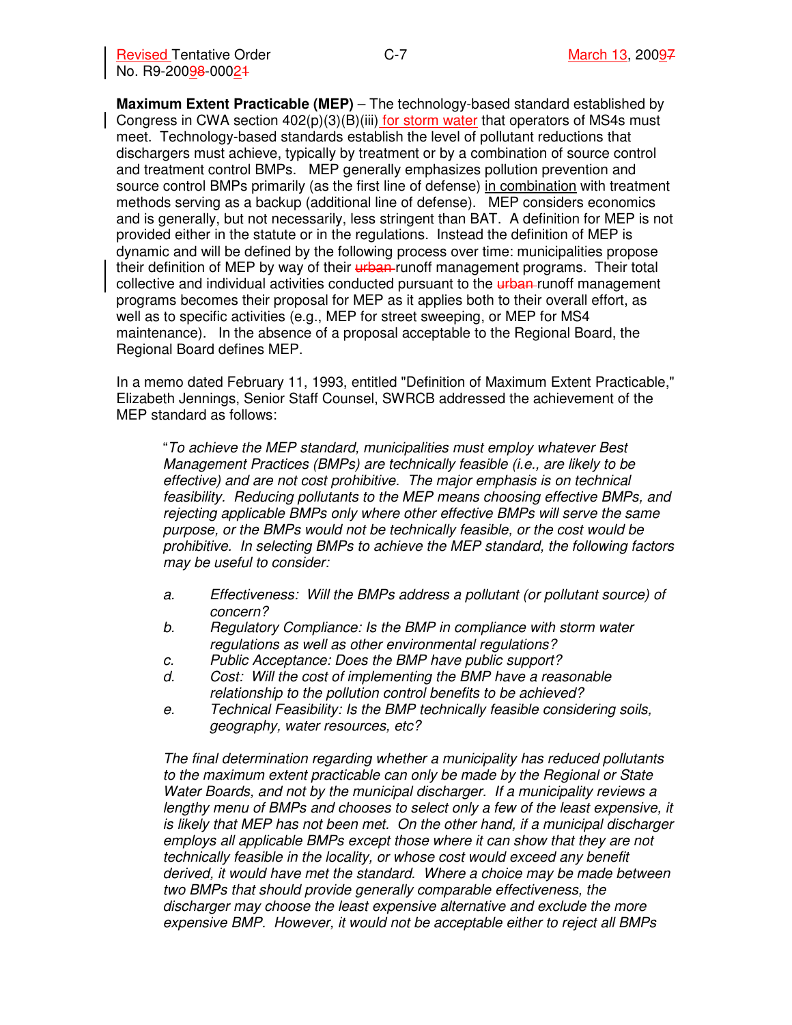**Maximum Extent Practicable (MEP)** – The technology-based standard established by Congress in CWA section  $402(p)(3)(B)(iii)$  for storm water that operators of MS4s must meet. Technology-based standards establish the level of pollutant reductions that dischargers must achieve, typically by treatment or by a combination of source control and treatment control BMPs. MEP generally emphasizes pollution prevention and source control BMPs primarily (as the first line of defense) in combination with treatment methods serving as a backup (additional line of defense). MEP considers economics and is generally, but not necessarily, less stringent than BAT. A definition for MEP is not provided either in the statute or in the regulations. Instead the definition of MEP is dynamic and will be defined by the following process over time: municipalities propose their definition of MEP by way of their **urban-runoff management programs**. Their total collective and individual activities conducted pursuant to the **urban-runoff management** programs becomes their proposal for MEP as it applies both to their overall effort, as well as to specific activities (e.g., MEP for street sweeping, or MEP for MS4 maintenance). In the absence of a proposal acceptable to the Regional Board, the Regional Board defines MEP.

In a memo dated February 11, 1993, entitled "Definition of Maximum Extent Practicable," Elizabeth Jennings, Senior Staff Counsel, SWRCB addressed the achievement of the MEP standard as follows:

"To achieve the MEP standard, municipalities must employ whatever Best Management Practices (BMPs) are technically feasible (i.e., are likely to be effective) and are not cost prohibitive. The major emphasis is on technical feasibility. Reducing pollutants to the MEP means choosing effective BMPs, and rejecting applicable BMPs only where other effective BMPs will serve the same purpose, or the BMPs would not be technically feasible, or the cost would be prohibitive. In selecting BMPs to achieve the MEP standard, the following factors may be useful to consider:

- a. Effectiveness: Will the BMPs address a pollutant (or pollutant source) of concern?
- b. Regulatory Compliance: Is the BMP in compliance with storm water regulations as well as other environmental regulations?
- c. Public Acceptance: Does the BMP have public support?
- d. Cost: Will the cost of implementing the BMP have a reasonable relationship to the pollution control benefits to be achieved?
- e. Technical Feasibility: Is the BMP technically feasible considering soils, geography, water resources, etc?

The final determination regarding whether a municipality has reduced pollutants to the maximum extent practicable can only be made by the Regional or State Water Boards, and not by the municipal discharger. If a municipality reviews a lengthy menu of BMPs and chooses to select only a few of the least expensive, it is likely that MEP has not been met. On the other hand, if a municipal discharger employs all applicable BMPs except those where it can show that they are not technically feasible in the locality, or whose cost would exceed any benefit derived, it would have met the standard. Where a choice may be made between two BMPs that should provide generally comparable effectiveness, the discharger may choose the least expensive alternative and exclude the more expensive BMP. However, it would not be acceptable either to reject all BMPs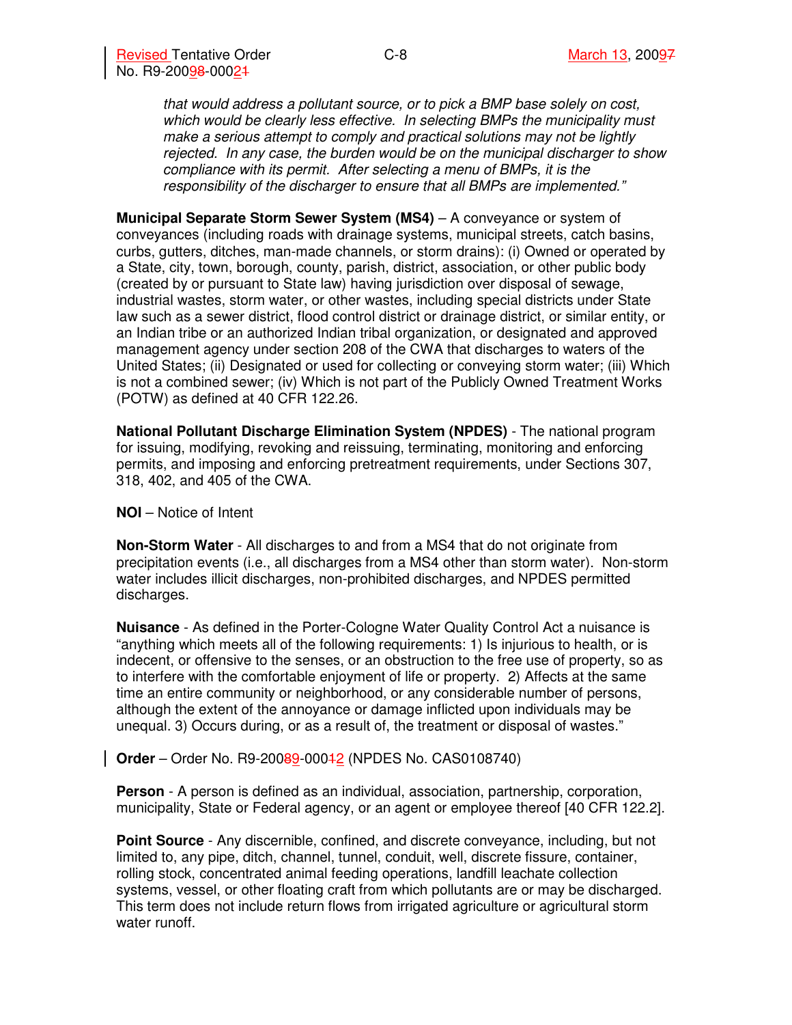that would address a pollutant source, or to pick a BMP base solely on cost, which would be clearly less effective. In selecting BMPs the municipality must make a serious attempt to comply and practical solutions may not be lightly rejected. In any case, the burden would be on the municipal discharger to show compliance with its permit. After selecting a menu of BMPs, it is the responsibility of the discharger to ensure that all BMPs are implemented."

**Municipal Separate Storm Sewer System (MS4) – A conveyance or system of** conveyances (including roads with drainage systems, municipal streets, catch basins, curbs, gutters, ditches, man-made channels, or storm drains): (i) Owned or operated by a State, city, town, borough, county, parish, district, association, or other public body (created by or pursuant to State law) having jurisdiction over disposal of sewage, industrial wastes, storm water, or other wastes, including special districts under State law such as a sewer district, flood control district or drainage district, or similar entity, or an Indian tribe or an authorized Indian tribal organization, or designated and approved management agency under section 208 of the CWA that discharges to waters of the United States; (ii) Designated or used for collecting or conveying storm water; (iii) Which is not a combined sewer; (iv) Which is not part of the Publicly Owned Treatment Works (POTW) as defined at 40 CFR 122.26.

**National Pollutant Discharge Elimination System (NPDES)** - The national program for issuing, modifying, revoking and reissuing, terminating, monitoring and enforcing permits, and imposing and enforcing pretreatment requirements, under Sections 307, 318, 402, and 405 of the CWA.

**NOI** – Notice of Intent

**Non-Storm Water** - All discharges to and from a MS4 that do not originate from precipitation events (i.e., all discharges from a MS4 other than storm water). Non-storm water includes illicit discharges, non-prohibited discharges, and NPDES permitted discharges.

**Nuisance** - As defined in the Porter-Cologne Water Quality Control Act a nuisance is "anything which meets all of the following requirements: 1) Is injurious to health, or is indecent, or offensive to the senses, or an obstruction to the free use of property, so as to interfere with the comfortable enjoyment of life or property. 2) Affects at the same time an entire community or neighborhood, or any considerable number of persons, although the extent of the annoyance or damage inflicted upon individuals may be unequal. 3) Occurs during, or as a result of, the treatment or disposal of wastes."

**Order** – Order No. R9-20089-00042 (NPDES No. CAS0108740)

**Person** - A person is defined as an individual, association, partnership, corporation, municipality, State or Federal agency, or an agent or employee thereof [40 CFR 122.2].

**Point Source** - Any discernible, confined, and discrete conveyance, including, but not limited to, any pipe, ditch, channel, tunnel, conduit, well, discrete fissure, container, rolling stock, concentrated animal feeding operations, landfill leachate collection systems, vessel, or other floating craft from which pollutants are or may be discharged. This term does not include return flows from irrigated agriculture or agricultural storm water runoff.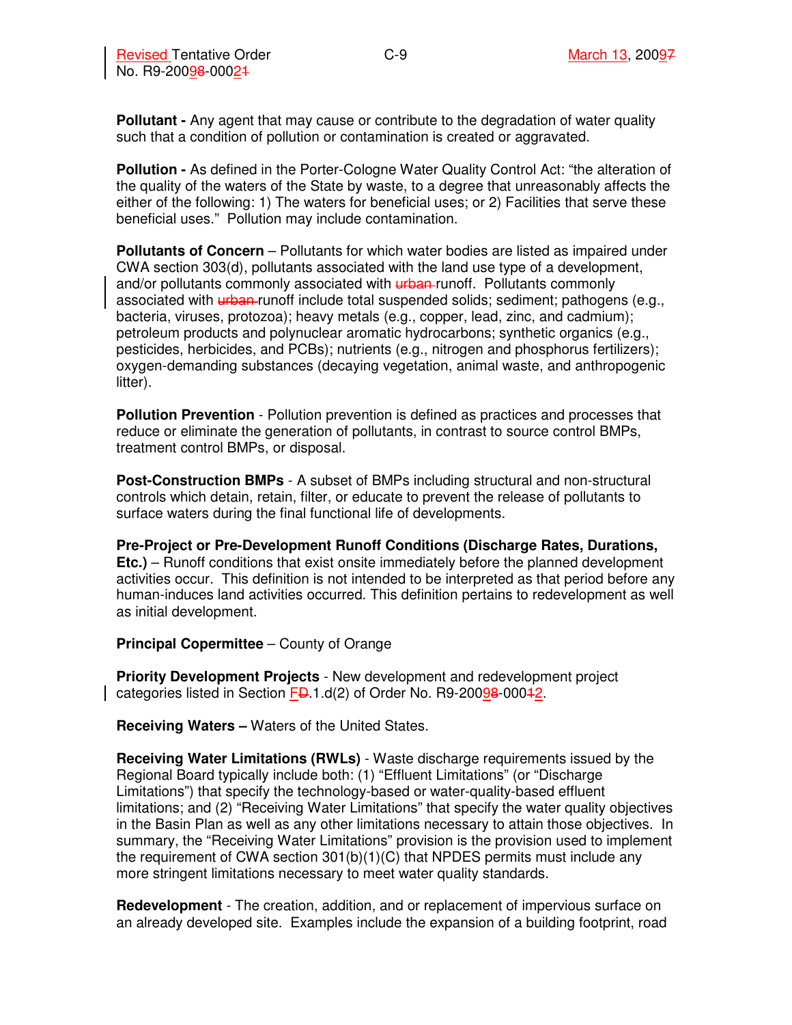**Pollutant -** Any agent that may cause or contribute to the degradation of water quality such that a condition of pollution or contamination is created or aggravated.

**Pollution -** As defined in the Porter-Cologne Water Quality Control Act: "the alteration of the quality of the waters of the State by waste, to a degree that unreasonably affects the either of the following: 1) The waters for beneficial uses; or 2) Facilities that serve these beneficial uses." Pollution may include contamination.

**Pollutants of Concern** – Pollutants for which water bodies are listed as impaired under CWA section 303(d), pollutants associated with the land use type of a development, and/or pollutants commonly associated with urban-runoff. Pollutants commonly associated with urban-runoff include total suspended solids; sediment; pathogens (e.g., bacteria, viruses, protozoa); heavy metals (e.g., copper, lead, zinc, and cadmium); petroleum products and polynuclear aromatic hydrocarbons; synthetic organics (e.g., pesticides, herbicides, and PCBs); nutrients (e.g., nitrogen and phosphorus fertilizers); oxygen-demanding substances (decaying vegetation, animal waste, and anthropogenic litter).

**Pollution Prevention** - Pollution prevention is defined as practices and processes that reduce or eliminate the generation of pollutants, in contrast to source control BMPs, treatment control BMPs, or disposal.

**Post-Construction BMPs** - A subset of BMPs including structural and non-structural controls which detain, retain, filter, or educate to prevent the release of pollutants to surface waters during the final functional life of developments.

**Pre-Project or Pre-Development Runoff Conditions (Discharge Rates, Durations, Etc.)** – Runoff conditions that exist onsite immediately before the planned development activities occur. This definition is not intended to be interpreted as that period before any human-induces land activities occurred. This definition pertains to redevelopment as well as initial development.

**Principal Copermittee** – County of Orange

**Priority Development Projects** - New development and redevelopment project categories listed in Section FD.1.d(2) of Order No. R9-20098-00042.

**Receiving Waters –** Waters of the United States.

**Receiving Water Limitations (RWLs)** - Waste discharge requirements issued by the Regional Board typically include both: (1) "Effluent Limitations" (or "Discharge Limitations") that specify the technology-based or water-quality-based effluent limitations; and (2) "Receiving Water Limitations" that specify the water quality objectives in the Basin Plan as well as any other limitations necessary to attain those objectives. In summary, the "Receiving Water Limitations" provision is the provision used to implement the requirement of CWA section  $301(b)(1)(C)$  that NPDES permits must include any more stringent limitations necessary to meet water quality standards.

**Redevelopment** - The creation, addition, and or replacement of impervious surface on an already developed site. Examples include the expansion of a building footprint, road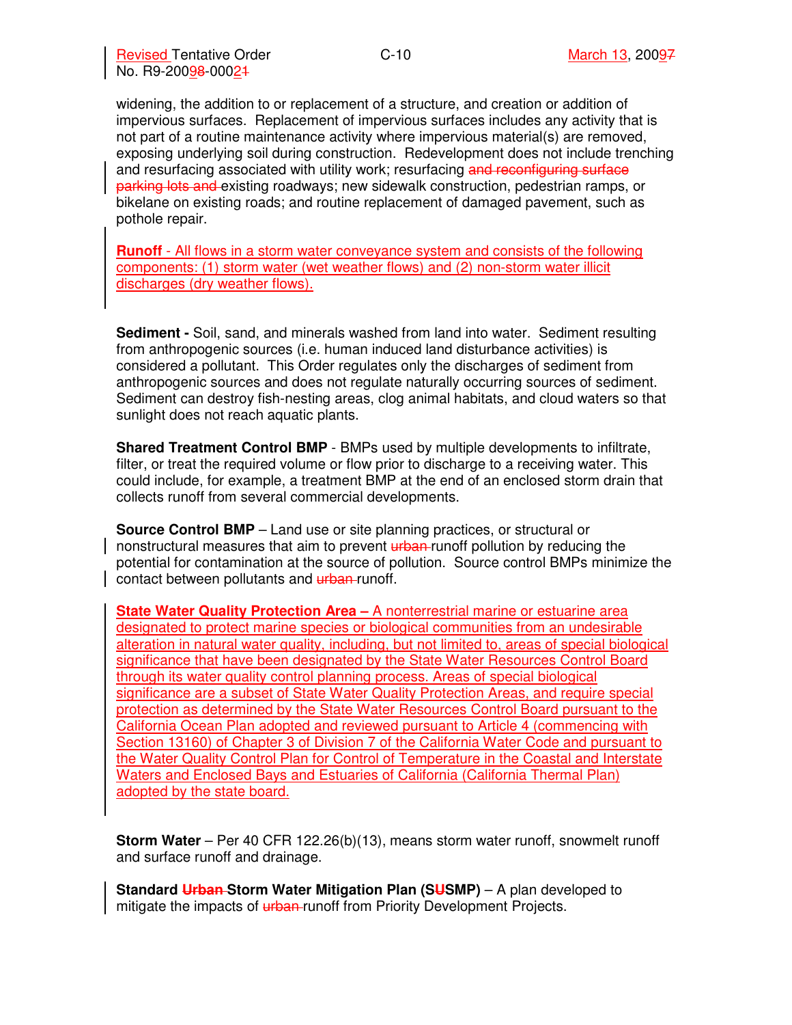widening, the addition to or replacement of a structure, and creation or addition of impervious surfaces. Replacement of impervious surfaces includes any activity that is not part of a routine maintenance activity where impervious material(s) are removed, exposing underlying soil during construction. Redevelopment does not include trenching and resurfacing associated with utility work; resurfacing and reconfiguring surface parking lots and existing roadways; new sidewalk construction, pedestrian ramps, or bikelane on existing roads; and routine replacement of damaged pavement, such as pothole repair.

**Runoff** - All flows in a storm water conveyance system and consists of the following components: (1) storm water (wet weather flows) and (2) non-storm water illicit discharges (dry weather flows).

**Sediment -** Soil, sand, and minerals washed from land into water. Sediment resulting from anthropogenic sources (i.e. human induced land disturbance activities) is considered a pollutant. This Order regulates only the discharges of sediment from anthropogenic sources and does not regulate naturally occurring sources of sediment. Sediment can destroy fish-nesting areas, clog animal habitats, and cloud waters so that sunlight does not reach aquatic plants.

**Shared Treatment Control BMP** - BMPs used by multiple developments to infiltrate, filter, or treat the required volume or flow prior to discharge to a receiving water. This could include, for example, a treatment BMP at the end of an enclosed storm drain that collects runoff from several commercial developments.

**Source Control BMP** – Land use or site planning practices, or structural or nonstructural measures that aim to prevent urban runoff pollution by reducing the potential for contamination at the source of pollution. Source control BMPs minimize the contact between pollutants and urban-runoff.

**State Water Quality Protection Area –** A nonterrestrial marine or estuarine area designated to protect marine species or biological communities from an undesirable alteration in natural water quality, including, but not limited to, areas of special biological significance that have been designated by the State Water Resources Control Board through its water quality control planning process. Areas of special biological significance are a subset of State Water Quality Protection Areas, and require special protection as determined by the State Water Resources Control Board pursuant to the California Ocean Plan adopted and reviewed pursuant to Article 4 (commencing with Section 13160) of Chapter 3 of Division 7 of the California Water Code and pursuant to the Water Quality Control Plan for Control of Temperature in the Coastal and Interstate Waters and Enclosed Bays and Estuaries of California (California Thermal Plan) adopted by the state board.

**Storm Water** – Per 40 CFR 122.26(b)(13), means storm water runoff, snowmelt runoff and surface runoff and drainage.

**Standard Urban-Storm Water Mitigation Plan (SUSMP)** – A plan developed to mitigate the impacts of  $\frac{u}{v}$  when runoff from Priority Development Projects.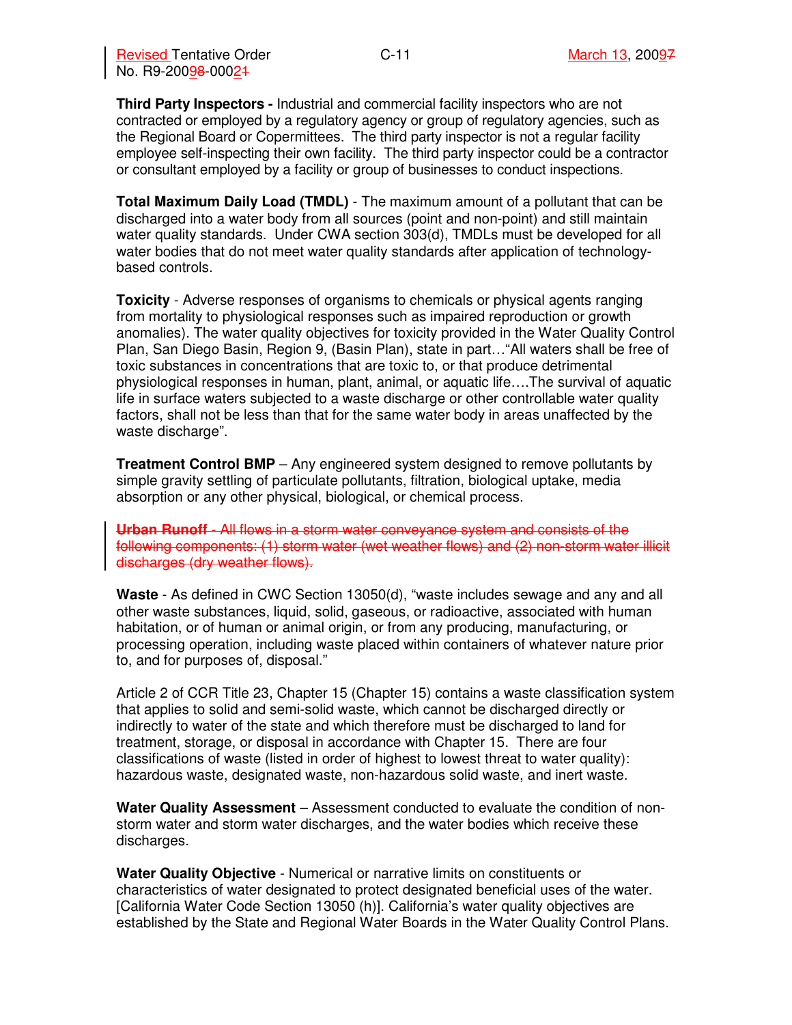**Third Party Inspectors -** Industrial and commercial facility inspectors who are not contracted or employed by a regulatory agency or group of regulatory agencies, such as the Regional Board or Copermittees. The third party inspector is not a regular facility employee self-inspecting their own facility. The third party inspector could be a contractor or consultant employed by a facility or group of businesses to conduct inspections.

**Total Maximum Daily Load (TMDL)** - The maximum amount of a pollutant that can be discharged into a water body from all sources (point and non-point) and still maintain water quality standards. Under CWA section 303(d), TMDLs must be developed for all water bodies that do not meet water quality standards after application of technologybased controls.

**Toxicity** - Adverse responses of organisms to chemicals or physical agents ranging from mortality to physiological responses such as impaired reproduction or growth anomalies). The water quality objectives for toxicity provided in the Water Quality Control Plan, San Diego Basin, Region 9, (Basin Plan), state in part…"All waters shall be free of toxic substances in concentrations that are toxic to, or that produce detrimental physiological responses in human, plant, animal, or aquatic life….The survival of aquatic life in surface waters subjected to a waste discharge or other controllable water quality factors, shall not be less than that for the same water body in areas unaffected by the waste discharge".

**Treatment Control BMP** – Any engineered system designed to remove pollutants by simple gravity settling of particulate pollutants, filtration, biological uptake, media absorption or any other physical, biological, or chemical process.

**Urban Runoff** - All flows in a storm water conveyance system and consists of the following components: (1) storm water (wet weather flows) and (2) non-storm water illicit discharges (dry weather flows).

**Waste** - As defined in CWC Section 13050(d), "waste includes sewage and any and all other waste substances, liquid, solid, gaseous, or radioactive, associated with human habitation, or of human or animal origin, or from any producing, manufacturing, or processing operation, including waste placed within containers of whatever nature prior to, and for purposes of, disposal."

Article 2 of CCR Title 23, Chapter 15 (Chapter 15) contains a waste classification system that applies to solid and semi-solid waste, which cannot be discharged directly or indirectly to water of the state and which therefore must be discharged to land for treatment, storage, or disposal in accordance with Chapter 15. There are four classifications of waste (listed in order of highest to lowest threat to water quality): hazardous waste, designated waste, non-hazardous solid waste, and inert waste.

**Water Quality Assessment** – Assessment conducted to evaluate the condition of nonstorm water and storm water discharges, and the water bodies which receive these discharges.

**Water Quality Objective** - Numerical or narrative limits on constituents or characteristics of water designated to protect designated beneficial uses of the water. [California Water Code Section 13050 (h)]. California's water quality objectives are established by the State and Regional Water Boards in the Water Quality Control Plans.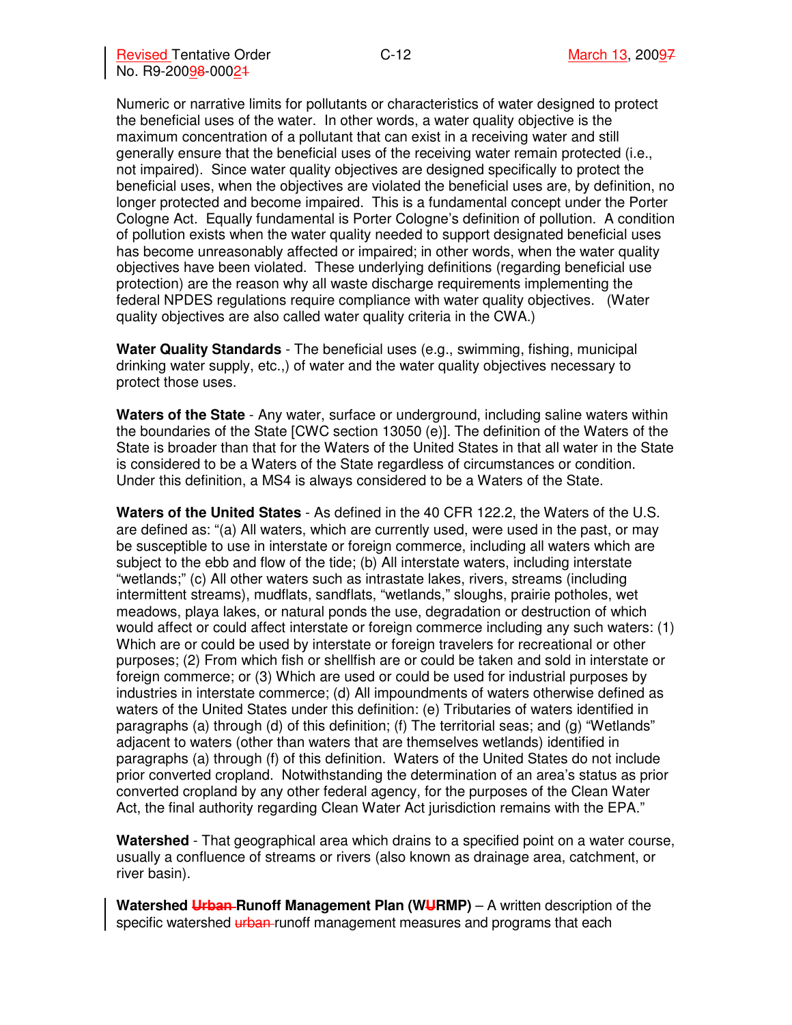Numeric or narrative limits for pollutants or characteristics of water designed to protect the beneficial uses of the water. In other words, a water quality objective is the maximum concentration of a pollutant that can exist in a receiving water and still generally ensure that the beneficial uses of the receiving water remain protected (i.e., not impaired). Since water quality objectives are designed specifically to protect the beneficial uses, when the objectives are violated the beneficial uses are, by definition, no longer protected and become impaired. This is a fundamental concept under the Porter Cologne Act. Equally fundamental is Porter Cologne's definition of pollution. A condition of pollution exists when the water quality needed to support designated beneficial uses has become unreasonably affected or impaired; in other words, when the water quality objectives have been violated. These underlying definitions (regarding beneficial use protection) are the reason why all waste discharge requirements implementing the federal NPDES regulations require compliance with water quality objectives. (Water quality objectives are also called water quality criteria in the CWA.)

**Water Quality Standards** - The beneficial uses (e.g., swimming, fishing, municipal drinking water supply, etc.,) of water and the water quality objectives necessary to protect those uses.

**Waters of the State** - Any water, surface or underground, including saline waters within the boundaries of the State [CWC section 13050 (e)]. The definition of the Waters of the State is broader than that for the Waters of the United States in that all water in the State is considered to be a Waters of the State regardless of circumstances or condition. Under this definition, a MS4 is always considered to be a Waters of the State.

**Waters of the United States** - As defined in the 40 CFR 122.2, the Waters of the U.S. are defined as: "(a) All waters, which are currently used, were used in the past, or may be susceptible to use in interstate or foreign commerce, including all waters which are subject to the ebb and flow of the tide; (b) All interstate waters, including interstate "wetlands;" (c) All other waters such as intrastate lakes, rivers, streams (including intermittent streams), mudflats, sandflats, "wetlands," sloughs, prairie potholes, wet meadows, playa lakes, or natural ponds the use, degradation or destruction of which would affect or could affect interstate or foreign commerce including any such waters: (1) Which are or could be used by interstate or foreign travelers for recreational or other purposes; (2) From which fish or shellfish are or could be taken and sold in interstate or foreign commerce; or (3) Which are used or could be used for industrial purposes by industries in interstate commerce; (d) All impoundments of waters otherwise defined as waters of the United States under this definition: (e) Tributaries of waters identified in paragraphs (a) through (d) of this definition; (f) The territorial seas; and (g) "Wetlands" adjacent to waters (other than waters that are themselves wetlands) identified in paragraphs (a) through (f) of this definition. Waters of the United States do not include prior converted cropland. Notwithstanding the determination of an area's status as prior converted cropland by any other federal agency, for the purposes of the Clean Water Act, the final authority regarding Clean Water Act jurisdiction remains with the EPA."

**Watershed** - That geographical area which drains to a specified point on a water course, usually a confluence of streams or rivers (also known as drainage area, catchment, or river basin).

Watershed Urban-Runoff Management Plan (WURMP) – A written description of the specific watershed urban-runoff management measures and programs that each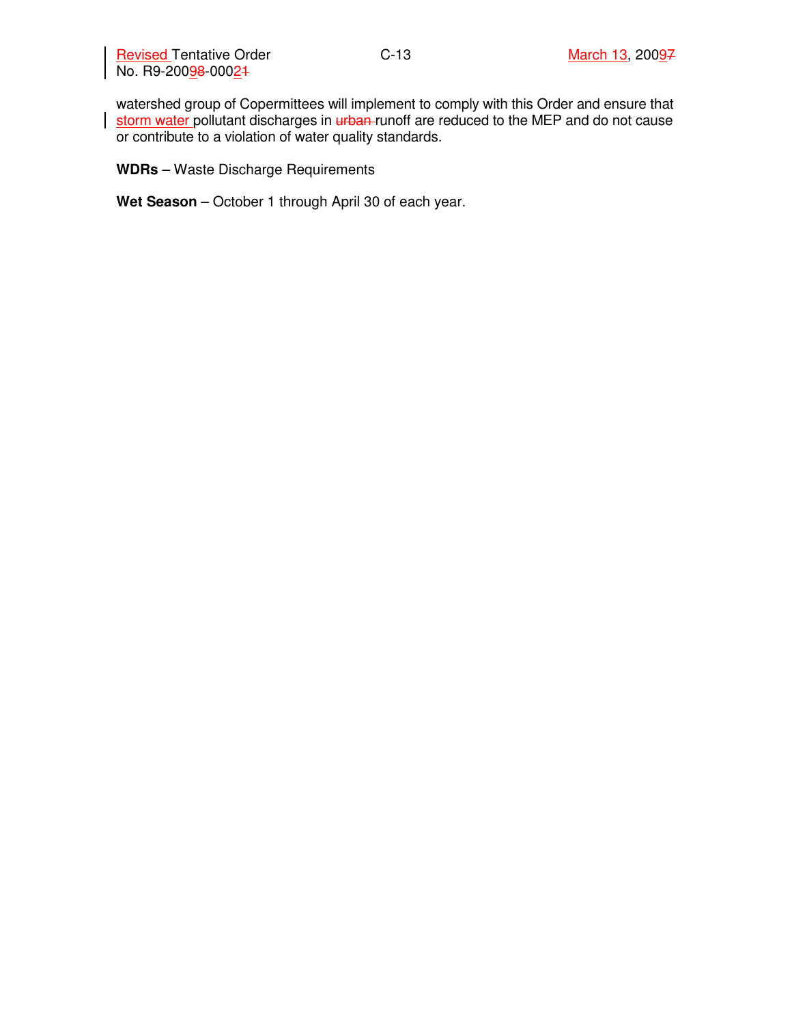Revised Tentative Order **March 13, 2009**7 No. R9-20098-00024

watershed group of Copermittees will implement to comply with this Order and ensure that storm water pollutant discharges in urban runoff are reduced to the MEP and do not cause or contribute to a violation of water quality standards.

**WDRs** – Waste Discharge Requirements

**Wet Season** – October 1 through April 30 of each year.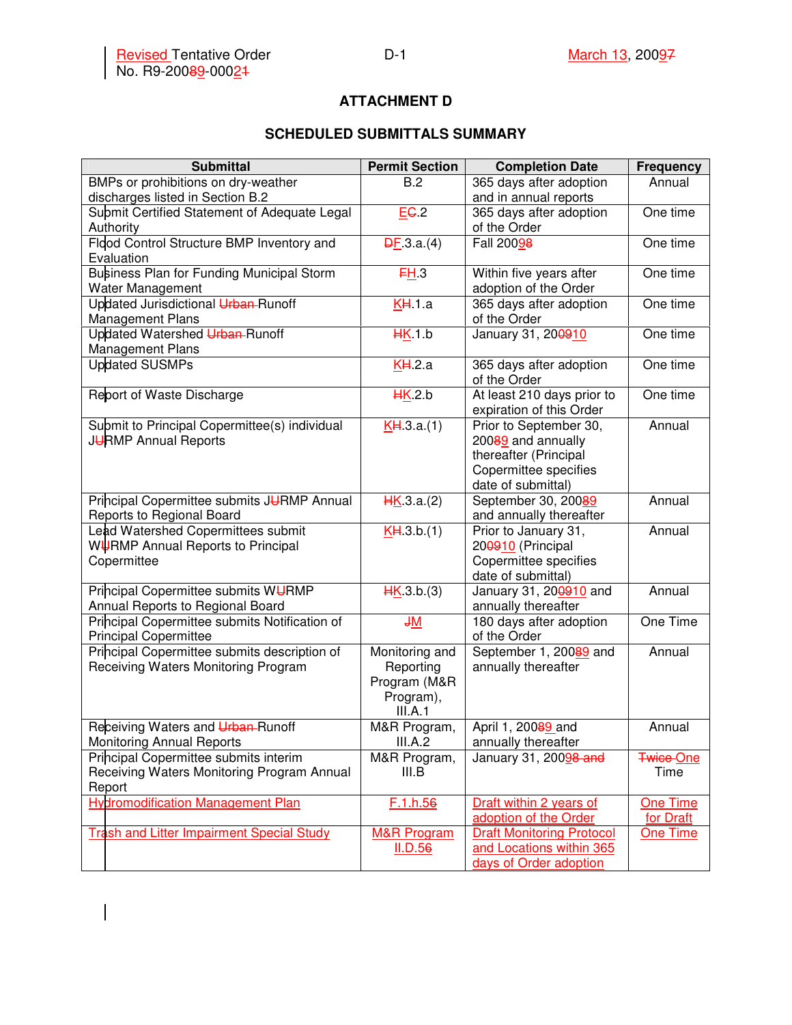$\overline{\phantom{a}}$ 

### **ATTACHMENT D**

# **SCHEDULED SUBMITTALS SUMMARY**

| <b>Submittal</b>                                                                    | <b>Permit Section</b>     | <b>Completion Date</b>                    | <b>Frequency</b> |
|-------------------------------------------------------------------------------------|---------------------------|-------------------------------------------|------------------|
| BMPs or prohibitions on dry-weather                                                 | B.2                       | 365 days after adoption                   | Annual           |
| discharges listed in Section B.2                                                    |                           | and in annual reports                     |                  |
| Submit Certified Statement of Adequate Legal                                        | EG <sub>2</sub>           | 365 days after adoption                   | One time         |
| Authority                                                                           |                           | of the Order                              |                  |
| Flood Control Structure BMP Inventory and                                           | $\overline{DF}.3.a.(4)$   | Fall 20098                                | One time         |
| Evaluation                                                                          |                           |                                           |                  |
| Business Plan for Funding Municipal Storm                                           | FH <sub>3</sub>           | Within five years after                   | One time         |
| Water Management                                                                    |                           | adoption of the Order                     |                  |
| Updated Jurisdictional Urban-Runoff                                                 | KH1.a                     | 365 days after adoption                   | One time         |
| <b>Management Plans</b>                                                             |                           | of the Order                              |                  |
| Updated Watershed Urban-Runoff                                                      | HK1.b                     | January 31, 200910                        | One time         |
| <b>Management Plans</b>                                                             |                           |                                           |                  |
| <b>Updated SUSMPs</b>                                                               | KH.2.a                    | 365 days after adoption                   | One time         |
|                                                                                     |                           | of the Order                              |                  |
| Report of Waste Discharge                                                           | H K 2.b                   | At least 210 days prior to                | One time         |
|                                                                                     |                           | expiration of this Order                  |                  |
| Submit to Principal Copermittee(s) individual                                       | KH.3.a.(1)                | Prior to September 30,                    | Annual           |
| JURMP Annual Reports                                                                |                           | 20089 and annually                        |                  |
|                                                                                     |                           | thereafter (Principal                     |                  |
|                                                                                     |                           | Copermittee specifies                     |                  |
|                                                                                     |                           | date of submittal)                        |                  |
| Principal Copermittee submits JURMP Annual                                          | H K.3.a.(2)               | September 30, 20089                       | Annual           |
| Reports to Regional Board                                                           |                           | and annually thereafter                   |                  |
| Lead Watershed Copermittees submit                                                  | KH.3.b.(1)                | Prior to January 31,                      | Annual           |
| WURMP Annual Reports to Principal                                                   |                           | 200910 (Principal                         |                  |
| Copermittee                                                                         |                           | Copermittee specifies                     |                  |
|                                                                                     |                           | date of submittal)                        |                  |
| Principal Copermittee submits WURMP                                                 | H K.3.b.(3)               | January 31, 200910 and                    | Annual           |
| Annual Reports to Regional Board                                                    |                           | annually thereafter                       | One Time         |
| Principal Copermittee submits Notification of<br><b>Principal Copermittee</b>       | J <sub>M</sub>            | 180 days after adoption<br>of the Order   |                  |
|                                                                                     | Monitoring and            |                                           | Annual           |
| Principal Copermittee submits description of<br>Receiving Waters Monitoring Program |                           | September 1, 20089 and                    |                  |
|                                                                                     | Reporting<br>Program (M&R | annually thereafter                       |                  |
|                                                                                     |                           |                                           |                  |
|                                                                                     | Program),                 |                                           |                  |
|                                                                                     | III.A.1                   |                                           | Annual           |
| Receiving Waters and Urban-Runoff<br><b>Monitoring Annual Reports</b>               | M&R Program,<br>III.A.2   | April 1, 20089 and<br>annually thereafter |                  |
| Principal Copermittee submits interim                                               | M&R Program,              | January 31, 20098 and                     | <b>Twice-One</b> |
| Receiving Waters Monitoring Program Annual                                          | III.B                     |                                           | Time             |
| Report                                                                              |                           |                                           |                  |
| <b>Hydromodification Management Plan</b>                                            | F.1.h.56                  | Draft within 2 years of                   | One Time         |
|                                                                                     |                           | adoption of the Order                     | for Draft        |
| <b>Trash and Litter Impairment Special Study</b>                                    | <b>M&amp;R Program</b>    | <b>Draft Monitoring Protocol</b>          | One Time         |
|                                                                                     | II.D.56                   | and Locations within 365                  |                  |
|                                                                                     |                           | days of Order adoption                    |                  |
|                                                                                     |                           |                                           |                  |